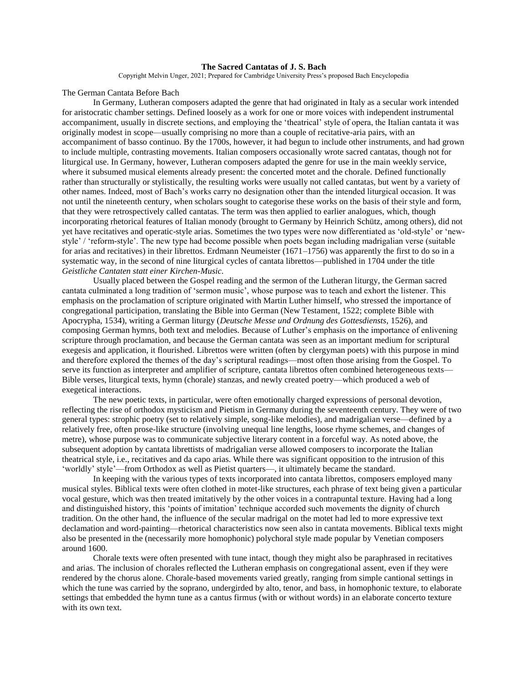## **The Sacred Cantatas of J. S. Bach**

Copyright Melvin Unger, 2021; Prepared for Cambridge University Press's proposed Bach Encyclopedia

The German Cantata Before Bach

In Germany, Lutheran composers adapted the genre that had originated in Italy as a secular work intended for aristocratic chamber settings. Defined loosely as a work for one or more voices with independent instrumental accompaniment, usually in discrete sections, and employing the 'theatrical' style of opera, the Italian cantata it was originally modest in scope—usually comprising no more than a couple of recitative-aria pairs, with an accompaniment of basso continuo. By the 1700s, however, it had begun to include other instruments, and had grown to include multiple, contrasting movements. Italian composers occasionally wrote sacred cantatas, though not for liturgical use. In Germany, however, Lutheran composers adapted the genre for use in the main weekly service, where it subsumed musical elements already present: the concerted motet and the chorale. Defined functionally rather than structurally or stylistically, the resulting works were usually not called cantatas, but went by a variety of other names. Indeed, most of Bach's works carry no designation other than the intended liturgical occasion. It was not until the nineteenth century, when scholars sought to categorise these works on the basis of their style and form, that they were retrospectively called cantatas. The term was then applied to earlier analogues, which, though incorporating rhetorical features of Italian monody (brought to Germany by Heinrich Schütz, among others), did not yet have recitatives and operatic-style arias. Sometimes the two types were now differentiated as 'old-style' or 'newstyle' / 'reform-style'. The new type had become possible when poets began including madrigalian verse (suitable for arias and recitatives) in their librettos. Erdmann Neumeister (1671–1756) was apparently the first to do so in a systematic way, in the second of nine liturgical cycles of cantata librettos—published in 1704 under the title *Geistliche Cantaten statt einer Kirchen-Music*.

Usually placed between the Gospel reading and the sermon of the Lutheran liturgy, the German sacred cantata culminated a long tradition of 'sermon music', whose purpose was to teach and exhort the listener. This emphasis on the proclamation of scripture originated with Martin Luther himself, who stressed the importance of congregational participation, translating the Bible into German (New Testament, 1522; complete Bible with Apocrypha, 1534), writing a German liturgy (*Deutsche Messe und Ordnung des Gottesdiensts*, 1526), and composing German hymns, both text and melodies. Because of Luther's emphasis on the importance of enlivening scripture through proclamation, and because the German cantata was seen as an important medium for scriptural exegesis and application, it flourished. Librettos were written (often by clergyman poets) with this purpose in mind and therefore explored the themes of the day's scriptural readings—most often those arising from the Gospel. To serve its function as interpreter and amplifier of scripture, cantata librettos often combined heterogeneous texts— Bible verses, liturgical texts, hymn (chorale) stanzas, and newly created poetry—which produced a web of exegetical interactions.

The new poetic texts, in particular, were often emotionally charged expressions of personal devotion, reflecting the rise of orthodox mysticism and Pietism in Germany during the seventeenth century. They were of two general types: strophic poetry (set to relatively simple, song-like melodies), and madrigalian verse—defined by a relatively free, often prose-like structure (involving unequal line lengths, loose rhyme schemes, and changes of metre), whose purpose was to communicate subjective literary content in a forceful way. As noted above, the subsequent adoption by cantata librettists of madrigalian verse allowed composers to incorporate the Italian theatrical style, i.e., recitatives and da capo arias. While there was significant opposition to the intrusion of this 'worldly' style'—from Orthodox as well as Pietist quarters—, it ultimately became the standard.

In keeping with the various types of texts incorporated into cantata librettos, composers employed many musical styles. Biblical texts were often clothed in motet-like structures, each phrase of text being given a particular vocal gesture, which was then treated imitatively by the other voices in a contrapuntal texture. Having had a long and distinguished history, this 'points of imitation' technique accorded such movements the dignity of church tradition. On the other hand, the influence of the secular madrigal on the motet had led to more expressive text declamation and word-painting—rhetorical characteristics now seen also in cantata movements. Biblical texts might also be presented in the (necessarily more homophonic) polychoral style made popular by Venetian composers around 1600.

Chorale texts were often presented with tune intact, though they might also be paraphrased in recitatives and arias. The inclusion of chorales reflected the Lutheran emphasis on congregational assent, even if they were rendered by the chorus alone. Chorale-based movements varied greatly, ranging from simple cantional settings in which the tune was carried by the soprano, undergirded by alto, tenor, and bass, in homophonic texture, to elaborate settings that embedded the hymn tune as a cantus firmus (with or without words) in an elaborate concerto texture with its own text.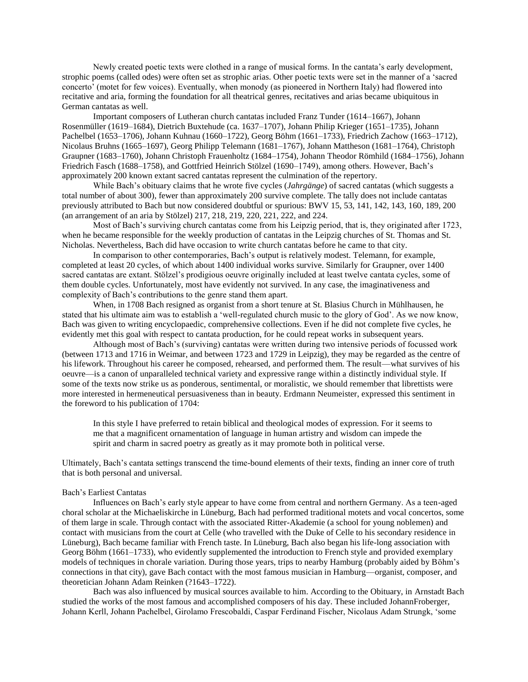Newly created poetic texts were clothed in a range of musical forms. In the cantata's early development, strophic poems (called odes) were often set as strophic arias. Other poetic texts were set in the manner of a 'sacred concerto' (motet for few voices). Eventually, when monody (as pioneered in Northern Italy) had flowered into recitative and aria, forming the foundation for all theatrical genres, recitatives and arias became ubiquitous in German cantatas as well.

Important composers of Lutheran church cantatas included Franz Tunder (1614–1667), Johann Rosenmüller (1619–1684), Dietrich Buxtehude (ca. 1637–1707), Johann Philip Krieger (1651–1735), Johann Pachelbel (1653–1706), Johann Kuhnau (1660–1722), Georg Böhm (1661–1733), Friedrich Zachow (1663–1712), Nicolaus Bruhns (1665–1697), Georg Philipp Telemann (1681–1767), Johann Mattheson (1681–1764), Christoph Graupner (1683–1760), Johann Christoph Frauenholtz (1684–1754), Johann Theodor Römhild (1684–1756), Johann Friedrich Fasch (1688–1758), and Gottfried Heinrich Stölzel (1690–1749), among others. However, Bach's approximately 200 known extant sacred cantatas represent the culmination of the repertory.

While Bach's obituary claims that he wrote five cycles (*Jahrgänge*) of sacred cantatas (which suggests a total number of about 300), fewer than approximately 200 survive complete. The tally does not include cantatas previously attributed to Bach but now considered doubtful or spurious: BWV 15, 53, 141, 142, 143, 160, 189, 200 (an arrangement of an aria by Stölzel) 217, 218, 219, 220, 221, 222, and 224.

Most of Bach's surviving church cantatas come from his Leipzig period, that is, they originated after 1723, when he became responsible for the weekly production of cantatas in the Leipzig churches of St. Thomas and St. Nicholas. Nevertheless, Bach did have occasion to write church cantatas before he came to that city.

In comparison to other contemporaries, Bach's output is relatively modest. Telemann, for example, completed at least 20 cycles, of which about 1400 individual works survive. Similarly for Graupner, over 1400 sacred cantatas are extant. Stölzel's prodigious oeuvre originally included at least twelve cantata cycles, some of them double cycles. Unfortunately, most have evidently not survived. In any case, the imaginativeness and complexity of Bach's contributions to the genre stand them apart.

When, in 1708 Bach resigned as organist from a short tenure at St. Blasius Church in Mühlhausen, he stated that his ultimate aim was to establish a 'well-regulated church music to the glory of God'. As we now know, Bach was given to writing encyclopaedic, comprehensive collections. Even if he did not complete five cycles, he evidently met this goal with respect to cantata production, for he could repeat works in subsequent years.

Although most of Bach's (surviving) cantatas were written during two intensive periods of focussed work (between 1713 and 1716 in Weimar, and between 1723 and 1729 in Leipzig), they may be regarded as the centre of his lifework. Throughout his career he composed, rehearsed, and performed them. The result—what survives of his oeuvre—is a canon of unparalleled technical variety and expressive range within a distinctly individual style. If some of the texts now strike us as ponderous, sentimental, or moralistic, we should remember that librettists were more interested in hermeneutical persuasiveness than in beauty. Erdmann Neumeister, expressed this sentiment in the foreword to his publication of 1704:

In this style I have preferred to retain biblical and theological modes of expression. For it seems to me that a magnificent ornamentation of language in human artistry and wisdom can impede the spirit and charm in sacred poetry as greatly as it may promote both in political verse.

Ultimately, Bach's cantata settings transcend the time-bound elements of their texts, finding an inner core of truth that is both personal and universal.

#### Bach's Earliest Cantatas

Influences on Bach's early style appear to have come from central and northern Germany. As a teen-aged choral scholar at the Michaeliskirche in Lüneburg, Bach had performed traditional motets and vocal concertos, some of them large in scale. Through contact with the associated Ritter-Akademie (a school for young noblemen) and contact with musicians from the court at Celle (who travelled with the Duke of Celle to his secondary residence in Lüneburg), Bach became familiar with French taste. In Lüneburg, Bach also began his life-long association with Georg Böhm (1661–1733), who evidently supplemented the introduction to French style and provided exemplary models of techniques in chorale variation. During those years, trips to nearby Hamburg (probably aided by Böhm's connections in that city), gave Bach contact with the most famous musician in Hamburg—organist, composer, and theoretician Johann Adam Reinken (?1643–1722).

Bach was also influenced by musical sources available to him. According to the Obituary, in Arnstadt Bach studied the works of the most famous and accomplished composers of his day. These included JohannFroberger, Johann Kerll, Johann Pachelbel, Girolamo Frescobaldi, Caspar Ferdinand Fischer, Nicolaus Adam Strungk, 'some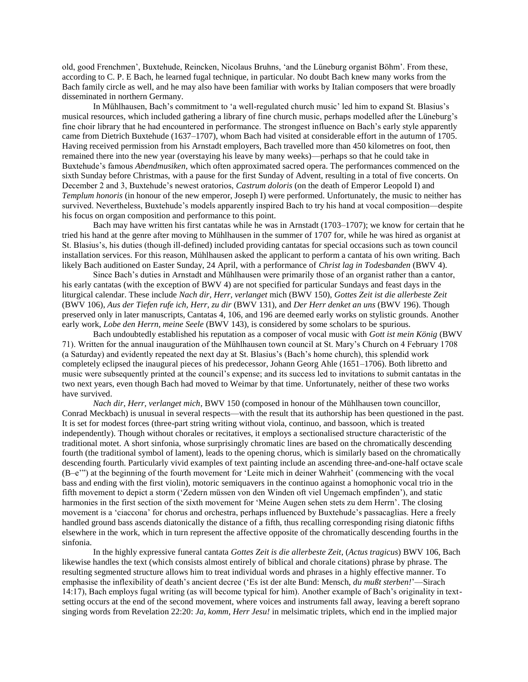old, good Frenchmen', Buxtehude, Reincken, Nicolaus Bruhns, 'and the Lüneburg organist Böhm'. From these, according to C. P. E Bach, he learned fugal technique, in particular. No doubt Bach knew many works from the Bach family circle as well, and he may also have been familiar with works by Italian composers that were broadly disseminated in northern Germany.

In Mühlhausen, Bach's commitment to 'a well-regulated church music' led him to expand St. Blasius's musical resources, which included gathering a library of fine church music, perhaps modelled after the Lüneburg's fine choir library that he had encountered in performance. The strongest influence on Bach's early style apparently came from Dietrich Buxtehude (1637–1707), whom Bach had visited at considerable effort in the autumn of 1705. Having received permission from his Arnstadt employers, Bach travelled more than 450 kilometres on foot, then remained there into the new year (overstaying his leave by many weeks)—perhaps so that he could take in Buxtehude's famous *Abendmusiken*, which often approximated sacred opera. The performances commenced on the sixth Sunday before Christmas, with a pause for the first Sunday of Advent, resulting in a total of five concerts. On December 2 and 3, Buxtehude's newest oratorios, *Castrum doloris* (on the death of Emperor Leopold I) and *Templum honoris* (in honour of the new emperor, Joseph I) were performed. Unfortunately, the music to neither has survived. Nevertheless, Buxtehude's models apparently inspired Bach to try his hand at vocal composition—despite his focus on organ composition and performance to this point.

Bach may have written his first cantatas while he was in Arnstadt (1703–1707); we know for certain that he tried his hand at the genre after moving to Mühlhausen in the summer of 1707 for, while he was hired as organist at St. Blasius's, his duties (though ill-defined) included providing cantatas for special occasions such as town council installation services. For this reason, Mühlhausen asked the applicant to perform a cantata of his own writing. Bach likely Bach auditioned on Easter Sunday, 24 April, with a performance of *Christ lag in Todesbanden* (BWV 4).

Since Bach's duties in Arnstadt and Mühlhausen were primarily those of an organist rather than a cantor, his early cantatas (with the exception of BWV 4) are not specified for particular Sundays and feast days in the liturgical calendar. These include *Nach dir, Herr, verlanget* mich (BWV 150), *Gottes Zeit ist die allerbeste Zeit* (BWV 106), *Aus der Tiefen rufe ich, Herr, zu dir* (BWV 131), and *Der Herr denket an uns* (BWV 196). Though preserved only in later manuscripts, Cantatas 4, 106, and 196 are deemed early works on stylistic grounds. Another early work, *Lobe den Herrn, meine Seele* (BWV 143), is considered by some scholars to be spurious.

Bach undoubtedly established his reputation as a composer of vocal music with *Gott ist mein König* (BWV 71). Written for the annual inauguration of the Mühlhausen town council at St. Mary's Church on 4 February 1708 (a Saturday) and evidently repeated the next day at St. Blasius's (Bach's home church), this splendid work completely eclipsed the inaugural pieces of his predecessor, Johann Georg Ahle (1651–1706). Both libretto and music were subsequently printed at the council's expense; and its success led to invitations to submit cantatas in the two next years, even though Bach had moved to Weimar by that time. Unfortunately, neither of these two works have survived.

*Nach dir, Herr, verlanget mich*, BWV 150 (composed in honour of the Mühlhausen town councillor, Conrad Meckbach) is unusual in several respects—with the result that its authorship has been questioned in the past. It is set for modest forces (three-part string writing without viola, continuo, and bassoon, which is treated independently). Though without chorales or recitatives, it employs a sectionalised structure characteristic of the traditional motet. A short sinfonia, whose surprisingly chromatic lines are based on the chromatically descending fourth (the traditional symbol of lament), leads to the opening chorus, which is similarly based on the chromatically descending fourth. Particularly vivid examples of text painting include an ascending three-and-one-half octave scale (B–e'") at the beginning of the fourth movement for 'Leite mich in deiner Wahrheit' (commencing with the vocal bass and ending with the first violin), motoric semiquavers in the continuo against a homophonic vocal trio in the fifth movement to depict a storm ('Zedern müssen von den Winden oft viel Ungemach empfinden'), and static harmonies in the first section of the sixth movement for 'Meine Augen sehen stets zu dem Herrn'. The closing movement is a 'ciaccona' for chorus and orchestra, perhaps influenced by Buxtehude's passacaglias. Here a freely handled ground bass ascends diatonically the distance of a fifth, thus recalling corresponding rising diatonic fifths elsewhere in the work, which in turn represent the affective opposite of the chromatically descending fourths in the sinfonia.

In the highly expressive funeral cantata *Gottes Zeit is die allerbeste Zeit*, (*Actus tragicus*) BWV 106, Bach likewise handles the text (which consists almost entirely of biblical and chorale citations) phrase by phrase. The resulting segmented structure allows him to treat individual words and phrases in a highly effective manner. To emphasise the inflexibility of death's ancient decree ('Es ist der alte Bund: Mensch, *du mußt sterben!*'—Sirach 14:17), Bach employs fugal writing (as will become typical for him). Another example of Bach's originality in textsetting occurs at the end of the second movement, where voices and instruments fall away, leaving a bereft soprano singing words from Revelation 22:20: *Ja, komm, Herr Jesu!* in melsimatic triplets, which end in the implied major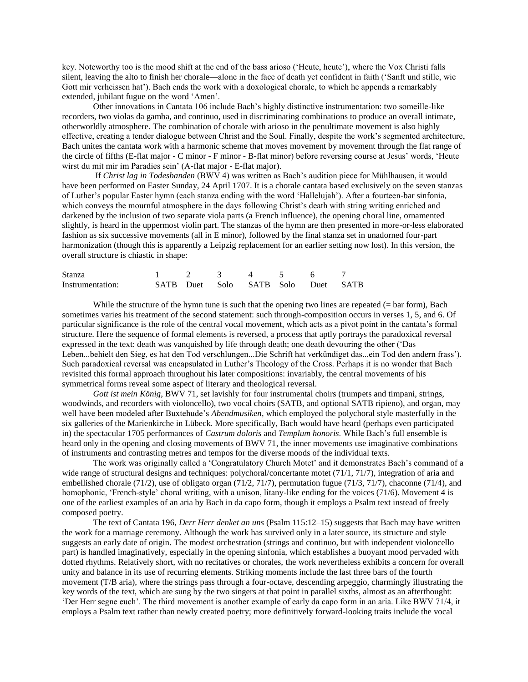key. Noteworthy too is the mood shift at the end of the bass arioso ('Heute, heute'), where the Vox Christi falls silent, leaving the alto to finish her chorale—alone in the face of death yet confident in faith ('Sanft und stille, wie Gott mir verheissen hat'). Bach ends the work with a doxological chorale, to which he appends a remarkably extended, jubilant fugue on the word 'Amen'.

Other innovations in Cantata 106 include Bach's highly distinctive instrumentation: two someille-like recorders, two violas da gamba, and continuo, used in discriminating combinations to produce an overall intimate, otherworldly atmosphere. The combination of chorale with arioso in the penultimate movement is also highly effective, creating a tender dialogue between Christ and the Soul. Finally, despite the work's segmented architecture, Bach unites the cantata work with a harmonic scheme that moves movement by movement through the flat range of the circle of fifths (E-flat major - C minor - F minor - B-flat minor) before reversing course at Jesus' words, 'Heute wirst du mit mir im Paradies sein' (A-flat major - E-flat major).

If *Christ lag in Todesbanden* (BWV 4) was written as Bach's audition piece for Mühlhausen, it would have been performed on Easter Sunday, 24 April 1707. It is a chorale cantata based exclusively on the seven stanzas of Luther's popular Easter hymn (each stanza ending with the word 'Hallelujah'). After a fourteen-bar sinfonia, which conveys the mournful atmosphere in the days following Christ's death with string writing enriched and darkened by the inclusion of two separate viola parts (a French influence), the opening choral line, ornamented slightly, is heard in the uppermost violin part. The stanzas of the hymn are then presented in more-or-less elaborated fashion as six successive movements (all in E minor), followed by the final stanza set in unadorned four-part harmonization (though this is apparently a Leipzig replacement for an earlier setting now lost). In this version, the overall structure is chiastic in shape:

| Stanza           |  |  |                                    |  |
|------------------|--|--|------------------------------------|--|
| Instrumentation: |  |  | SATB Duet Solo SATB Solo Duet SATB |  |

While the structure of the hymn tune is such that the opening two lines are repeated  $(=$  bar form), Bach sometimes varies his treatment of the second statement: such through-composition occurs in verses 1, 5, and 6. Of particular significance is the role of the central vocal movement, which acts as a pivot point in the cantata's formal structure. Here the sequence of formal elements is reversed, a process that aptly portrays the paradoxical reversal expressed in the text: death was vanquished by life through death; one death devouring the other ('Das Leben...behielt den Sieg, es hat den Tod verschlungen...Die Schrift hat verkündiget das...ein Tod den andern frass'). Such paradoxical reversal was encapsulated in Luther's Theology of the Cross. Perhaps it is no wonder that Bach revisited this formal approach throughout his later compositions: invariably, the central movements of his symmetrical forms reveal some aspect of literary and theological reversal.

*Gott ist mein König*, BWV 71, set lavishly for four instrumental choirs (trumpets and timpani, strings, woodwinds, and recorders with violoncello), two vocal choirs (SATB, and optional SATB ripieno), and organ, may well have been modeled after Buxtehude's *Abendmusiken*, which employed the polychoral style masterfully in the six galleries of the Marienkirche in Lübeck. More specifically, Bach would have heard (perhaps even participated in) the spectacular 1705 performances of *Castrum doloris* and *Templum honoris*. While Bach's full ensemble is heard only in the opening and closing movements of BWV 71, the inner movements use imaginative combinations of instruments and contrasting metres and tempos for the diverse moods of the individual texts.

The work was originally called a 'Congratulatory Church Motet' and it demonstrates Bach's command of a wide range of structural designs and techniques: polychoral/concertante motet (71/1, 71/7), integration of aria and embellished chorale (71/2), use of obligato organ (71/2, 71/7), permutation fugue (71/3, 71/7), chaconne (71/4), and homophonic, 'French-style' choral writing, with a unison, litany-like ending for the voices (71/6). Movement 4 is one of the earliest examples of an aria by Bach in da capo form, though it employs a Psalm text instead of freely composed poetry.

The text of Cantata 196, *Derr Herr denket an uns* (Psalm 115:12–15) suggests that Bach may have written the work for a marriage ceremony. Although the work has survived only in a later source, its structure and style suggests an early date of origin. The modest orchestration (strings and continuo, but with independent violoncello part) is handled imaginatively, especially in the opening sinfonia, which establishes a buoyant mood pervaded with dotted rhythms. Relatively short, with no recitatives or chorales, the work nevertheless exhibits a concern for overall unity and balance in its use of recurring elements. Striking moments include the last three bars of the fourth movement (T/B aria), where the strings pass through a four-octave, descending arpeggio, charmingly illustrating the key words of the text, which are sung by the two singers at that point in parallel sixths, almost as an afterthought: 'Der Herr segne euch'. The third movement is another example of early da capo form in an aria. Like BWV 71/4, it employs a Psalm text rather than newly created poetry; more definitively forward-looking traits include the vocal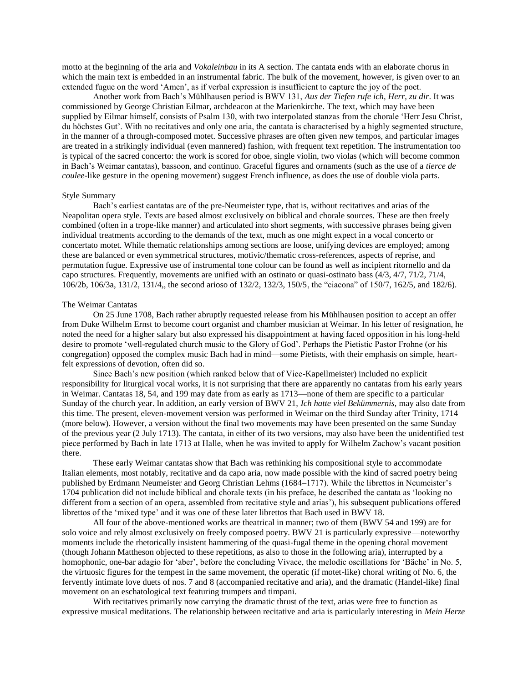motto at the beginning of the aria and *Vokaleinbau* in its A section. The cantata ends with an elaborate chorus in which the main text is embedded in an instrumental fabric. The bulk of the movement, however, is given over to an extended fugue on the word 'Amen', as if verbal expression is insufficient to capture the joy of the poet.

Another work from Bach's Mühlhausen period is BWV 131, *Aus der Tiefen rufe ich, Herr, zu dir*. It was commissioned by George Christian Eilmar, archdeacon at the Marienkirche. The text, which may have been supplied by Eilmar himself, consists of Psalm 130, with two interpolated stanzas from the chorale 'Herr Jesu Christ, du höchstes Gut'. With no recitatives and only one aria, the cantata is characterised by a highly segmented structure, in the manner of a through-composed motet. Successive phrases are often given new tempos, and particular images are treated in a strikingly individual (even mannered) fashion, with frequent text repetition. The instrumentation too is typical of the sacred concerto: the work is scored for oboe, single violin, two violas (which will become common in Bach's Weimar cantatas), bassoon, and continuo. Graceful figures and ornaments (such as the use of a *tierce de coulee*-like gesture in the opening movement) suggest French influence, as does the use of double viola parts.

### Style Summary

Bach's earliest cantatas are of the pre-Neumeister type, that is, without recitatives and arias of the Neapolitan opera style. Texts are based almost exclusively on biblical and chorale sources. These are then freely combined (often in a trope-like manner) and articulated into short segments, with successive phrases being given individual treatments according to the demands of the text, much as one might expect in a vocal concerto or concertato motet. While thematic relationships among sections are loose, unifying devices are employed; among these are balanced or even symmetrical structures, motivic/thematic cross-references, aspects of reprise, and permutation fugue. Expressive use of instrumental tone colour can be found as well as incipient ritornello and da capo structures. Frequently, movements are unified with an ostinato or quasi-ostinato bass (4/3, 4/7, 71/2, 71/4, 106/2b, 106/3a, 131/2, 131/4,, the second arioso of 132/2, 132/3, 150/5, the "ciacona" of 150/7, 162/5, and 182/6).

### The Weimar Cantatas

On 25 June 1708, Bach rather abruptly requested release from his Mühlhausen position to accept an offer from Duke Wilhelm Ernst to become court organist and chamber musician at Weimar. In his letter of resignation, he noted the need for a higher salary but also expressed his disappointment at having faced opposition in his long-held desire to promote 'well-regulated church music to the Glory of God'. Perhaps the Pietistic Pastor Frohne (or his congregation) opposed the complex music Bach had in mind—some Pietists, with their emphasis on simple, heartfelt expressions of devotion, often did so.

Since Bach's new position (which ranked below that of Vice-Kapellmeister) included no explicit responsibility for liturgical vocal works, it is not surprising that there are apparently no cantatas from his early years in Weimar. Cantatas 18, 54, and 199 may date from as early as 1713—none of them are specific to a particular Sunday of the church year. In addition, an early version of BWV 21, *Ich hatte viel Bekümmernis*, may also date from this time. The present, eleven-movement version was performed in Weimar on the third Sunday after Trinity, 1714 (more below). However, a version without the final two movements may have been presented on the same Sunday of the previous year (2 July 1713). The cantata, in either of its two versions, may also have been the unidentified test piece performed by Bach in late 1713 at Halle, when he was invited to apply for Wilhelm Zachow's vacant position there.

These early Weimar cantatas show that Bach was rethinking his compositional style to accommodate Italian elements, most notably, recitative and da capo aria, now made possible with the kind of sacred poetry being published by Erdmann Neumeister and Georg Christian Lehms (1684–1717). While the librettos in Neumeister's 1704 publication did not include biblical and chorale texts (in his preface, he described the cantata as 'looking no different from a section of an opera, assembled from recitative style and arias'), his subsequent publications offered librettos of the 'mixed type' and it was one of these later librettos that Bach used in BWV 18.

All four of the above-mentioned works are theatrical in manner; two of them (BWV 54 and 199) are for solo voice and rely almost exclusively on freely composed poetry. BWV 21 is particularly expressive—noteworthy moments include the rhetorically insistent hammering of the quasi-fugal theme in the opening choral movement (though Johann Mattheson objected to these repetitions, as also to those in the following aria), interrupted by a homophonic, one-bar adagio for 'aber', before the concluding Vivace, the melodic oscillations for 'Bäche' in No. 5, the virtuosic figures for the tempest in the same movement, the operatic (if motet-like) choral writing of No. 6, the fervently intimate love duets of nos. 7 and 8 (accompanied recitative and aria), and the dramatic (Handel-like) final movement on an eschatological text featuring trumpets and timpani.

With recitatives primarily now carrying the dramatic thrust of the text, arias were free to function as expressive musical meditations. The relationship between recitative and aria is particularly interesting in *Mein Herze*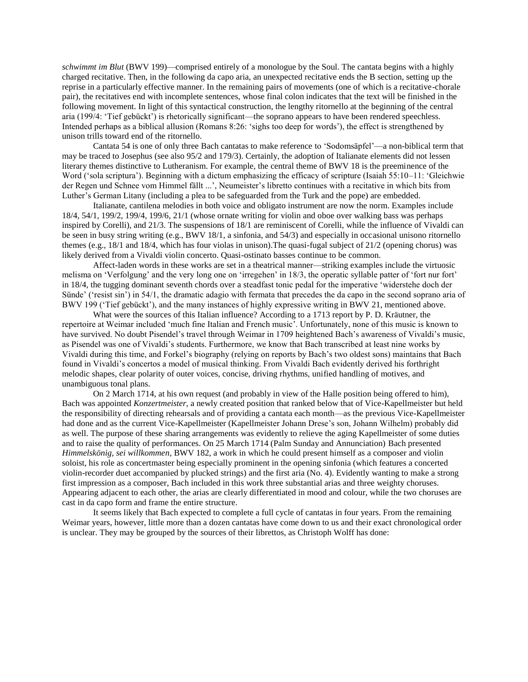*schwimmt im Blut* (BWV 199)—comprised entirely of a monologue by the Soul. The cantata begins with a highly charged recitative. Then, in the following da capo aria, an unexpected recitative ends the B section, setting up the reprise in a particularly effective manner. In the remaining pairs of movements (one of which is a recitative-chorale pair), the recitatives end with incomplete sentences, whose final colon indicates that the text will be finished in the following movement. In light of this syntactical construction, the lengthy ritornello at the beginning of the central aria (199/4: 'Tief gebückt') is rhetorically significant—the soprano appears to have been rendered speechless. Intended perhaps as a biblical allusion (Romans 8:26: 'sighs too deep for words'), the effect is strengthened by unison trills toward end of the ritornello.

Cantata 54 is one of only three Bach cantatas to make reference to 'Sodomsäpfel'—a non-biblical term that may be traced to Josephus (see also 95/2 and 179/3). Certainly, the adoption of Italianate elements did not lessen literary themes distinctive to Lutheranism. For example, the central theme of BWV 18 is the preeminence of the Word ('sola scriptura'). Beginning with a dictum emphasizing the efficacy of scripture (Isaiah 55:10–11: 'Gleichwie der Regen und Schnee vom Himmel fällt ...', Neumeister's libretto continues with a recitative in which bits from Luther's German Litany (including a plea to be safeguarded from the Turk and the pope) are embedded.

Italianate, cantilena melodies in both voice and obligato instrument are now the norm. Examples include 18/4, 54/1, 199/2, 199/4, 199/6, 21/1 (whose ornate writing for violin and oboe over walking bass was perhaps inspired by Corelli), and 21/3. The suspensions of 18/1 are reminiscent of Corelli, while the influence of Vivaldi can be seen in busy string writing (e.g., BWV 18/1, a sinfonia, and 54/3) and especially in occasional unisono ritornello themes (e.g., 18/1 and 18/4, which has four violas in unison).The quasi-fugal subject of 21/2 (opening chorus) was likely derived from a Vivaldi violin concerto. Quasi-ostinato basses continue to be common.

Affect-laden words in these works are set in a theatrical manner—striking examples include the virtuosic melisma on 'Verfolgung' and the very long one on 'irregehen' in 18/3, the operatic syllable patter of 'fort nur fort' in 18/4, the tugging dominant seventh chords over a steadfast tonic pedal for the imperative 'widerstehe doch der Sünde' ('resist sin') in 54/1, the dramatic adagio with fermata that precedes the da capo in the second soprano aria of BWV 199 ('Tief gebückt'), and the many instances of highly expressive writing in BWV 21, mentioned above.

What were the sources of this Italian influence? According to a 1713 report by P. D. Kräutner, the repertoire at Weimar included 'much fine Italian and French music'. Unfortunately, none of this music is known to have survived. No doubt Pisendel's travel through Weimar in 1709 heightened Bach's awareness of Vivaldi's music, as Pisendel was one of Vivaldi's students. Furthermore, we know that Bach transcribed at least nine works by Vivaldi during this time, and Forkel's biography (relying on reports by Bach's two oldest sons) maintains that Bach found in Vivaldi's concertos a model of musical thinking. From Vivaldi Bach evidently derived his forthright melodic shapes, clear polarity of outer voices, concise, driving rhythms, unified handling of motives, and unambiguous tonal plans.

On 2 March 1714, at his own request (and probably in view of the Halle position being offered to him), Bach was appointed *Konzertmeister*, a newly created position that ranked below that of Vice-Kapellmeister but held the responsibility of directing rehearsals and of providing a cantata each month—as the previous Vice-Kapellmeister had done and as the current Vice-Kapellmeister (Kapellmeister Johann Drese's son, Johann Wilhelm) probably did as well. The purpose of these sharing arrangements was evidently to relieve the aging Kapellmeister of some duties and to raise the quality of performances. On 25 March 1714 (Palm Sunday and Annunciation) Bach presented *Himmelskönig, sei willkommen*, BWV 182, a work in which he could present himself as a composer and violin soloist, his role as concertmaster being especially prominent in the opening sinfonia (which features a concerted violin-recorder duet accompanied by plucked strings) and the first aria (No. 4). Evidently wanting to make a strong first impression as a composer, Bach included in this work three substantial arias and three weighty choruses. Appearing adjacent to each other, the arias are clearly differentiated in mood and colour, while the two choruses are cast in da capo form and frame the entire structure.

It seems likely that Bach expected to complete a full cycle of cantatas in four years. From the remaining Weimar years, however, little more than a dozen cantatas have come down to us and their exact chronological order is unclear. They may be grouped by the sources of their librettos, as Christoph Wolff has done: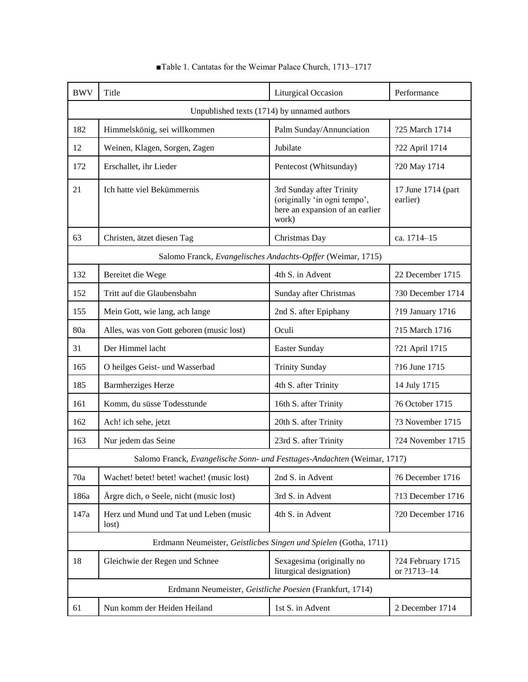| <b>BWV</b> | Title                                                                    | <b>Liturgical Occasion</b>                                                                           | Performance                      |  |  |
|------------|--------------------------------------------------------------------------|------------------------------------------------------------------------------------------------------|----------------------------------|--|--|
|            | Unpublished texts (1714) by unnamed authors                              |                                                                                                      |                                  |  |  |
| 182        | Himmelskönig, sei willkommen                                             | Palm Sunday/Annunciation                                                                             | ?25 March 1714                   |  |  |
| 12         | Weinen, Klagen, Sorgen, Zagen                                            | Jubilate                                                                                             | ?22 April 1714                   |  |  |
| 172        | Erschallet, ihr Lieder                                                   | Pentecost (Whitsunday)                                                                               | ?20 May 1714                     |  |  |
| 21         | Ich hatte viel Bekümmernis                                               | 3rd Sunday after Trinity<br>(originally 'in ogni tempo',<br>here an expansion of an earlier<br>work) | 17 June 1714 (part<br>earlier)   |  |  |
| 63         | Christen, ätzet diesen Tag                                               | Christmas Day                                                                                        | ca. 1714-15                      |  |  |
|            |                                                                          | Salomo Franck, Evangelisches Andachts-Opffer (Weimar, 1715)                                          |                                  |  |  |
| 132        | Bereitet die Wege                                                        | 4th S. in Advent                                                                                     | 22 December 1715                 |  |  |
| 152        | Tritt auf die Glaubensbahn                                               | Sunday after Christmas                                                                               | ?30 December 1714                |  |  |
| 155        | Mein Gott, wie lang, ach lange                                           | 2nd S. after Epiphany                                                                                | ?19 January 1716                 |  |  |
| 80a        | Alles, was von Gott geboren (music lost)                                 | Oculi                                                                                                | ?15 March 1716                   |  |  |
| 31         | Der Himmel lacht                                                         | Easter Sunday                                                                                        | ?21 April 1715                   |  |  |
| 165        | O heilges Geist- und Wasserbad                                           | <b>Trinity Sunday</b>                                                                                | ?16 June 1715                    |  |  |
| 185        | <b>Barmherziges Herze</b>                                                | 4th S. after Trinity                                                                                 | 14 July 1715                     |  |  |
| 161        | Komm, du süsse Todesstunde                                               | 16th S. after Trinity                                                                                | ?6 October 1715                  |  |  |
| 162        | Ach! ich sehe, jetzt                                                     | 20th S. after Trinity                                                                                | ?3 November 1715                 |  |  |
| 163        | Nur jedem das Seine                                                      | 23rd S. after Trinity                                                                                | ?24 November 1715                |  |  |
|            | Salomo Franck, Evangelische Sonn- und Festtages-Andachten (Weimar, 1717) |                                                                                                      |                                  |  |  |
| 70a        | Wachet! betet! betet! wachet! (music lost)                               | 2nd S. in Advent                                                                                     | ?6 December 1716                 |  |  |
| 186a       | Ärgre dich, o Seele, nicht (music lost)                                  | 3rd S. in Advent                                                                                     | ?13 December 1716                |  |  |
| 147a       | Herz und Mund und Tat und Leben (music<br>lost)                          | 4th S. in Advent                                                                                     | ?20 December 1716                |  |  |
|            |                                                                          | Erdmann Neumeister, Geistliches Singen und Spielen (Gotha, 1711)                                     |                                  |  |  |
| 18         | Gleichwie der Regen und Schnee                                           | Sexagesima (originally no<br>liturgical designation)                                                 | ?24 February 1715<br>or ?1713-14 |  |  |
|            |                                                                          | Erdmann Neumeister, Geistliche Poesien (Frankfurt, 1714)                                             |                                  |  |  |
| 61         | Nun komm der Heiden Heiland                                              | 1st S. in Advent                                                                                     | 2 December 1714                  |  |  |

# ■Table 1. Cantatas for the Weimar Palace Church, 1713-1717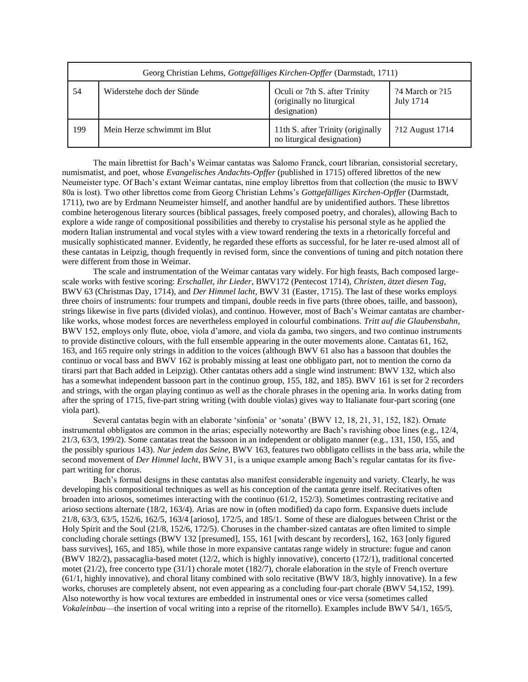|     | Georg Christian Lehms, Gottgefälliges Kirchen-Opffer (Darmstadt, 1711) |                                                                            |                              |  |
|-----|------------------------------------------------------------------------|----------------------------------------------------------------------------|------------------------------|--|
| 54  | Widerstehe doch der Sünde                                              | Oculi or 7th S. after Trinity<br>(originally no liturgical<br>designation) | 24 March or 215<br>July 1714 |  |
| 199 | Mein Herze schwimmt im Blut                                            | 11th S. after Trinity (originally<br>no liturgical designation)            | ?12 August 1714              |  |

The main librettist for Bach's Weimar cantatas was Salomo Franck, court librarian, consistorial secretary, numismatist, and poet, whose *Evangelisches Andachts-Opffer* (published in 1715) offered librettos of the new Neumeister type. Of Bach's extant Weimar cantatas, nine employ librettos from that collection (the music to BWV 80a is lost). Two other librettos come from Georg Christian Lehms's *Gottgefälliges Kirchen-Opffer* (Darmstadt, 1711), two are by Erdmann Neumeister himself, and another handful are by unidentified authors. These librettos combine heterogenous literary sources (biblical passages, freely composed poetry, and chorales), allowing Bach to explore a wide range of compositional possibilities and thereby to crystalise his personal style as he applied the modern Italian instrumental and vocal styles with a view toward rendering the texts in a rhetorically forceful and musically sophisticated manner. Evidently, he regarded these efforts as successful, for he later re-used almost all of these cantatas in Leipzig, though frequently in revised form, since the conventions of tuning and pitch notation there were different from those in Weimar.

The scale and instrumentation of the Weimar cantatas vary widely. For high feasts, Bach composed largescale works with festive scoring: *Erschallet, ihr Lieder*, BWV172 (Pentecost 1714), *Christen, ätzet diesen Tag*, BWV 63 (Christmas Day, 1714), and *Der Himmel lacht*, BWV 31 (Easter, 1715). The last of these works employs three choirs of instruments: four trumpets and timpani, double reeds in five parts (three oboes, taille, and bassoon), strings likewise in five parts (divided violas), and continuo. However, most of Bach's Weimar cantatas are chamberlike works, whose modest forces are nevertheless employed in colourful combinations. *Tritt auf die Glaubensbahn*, BWV 152, employs only flute, oboe, viola d'amore, and viola da gamba, two singers, and two continuo instruments to provide distinctive colours, with the full ensemble appearing in the outer movements alone. Cantatas 61, 162, 163, and 165 require only strings in addition to the voices (although BWV 61 also has a bassoon that doubles the continuo or vocal bass and BWV 162 is probably missing at least one obbligato part, not to mention the corno da tirarsi part that Bach added in Leipzig). Other cantatas others add a single wind instrument: BWV 132, which also has a somewhat independent bassoon part in the continuo group, 155, 182, and 185). BWV 161 is set for 2 recorders and strings, with the organ playing continuo as well as the chorale phrases in the opening aria. In works dating from after the spring of 1715, five-part string writing (with double violas) gives way to Italianate four-part scoring (one viola part).

Several cantatas begin with an elaborate 'sinfonia' or 'sonata' (BWV 12, 18, 21, 31, 152, 182). Ornate instrumental obbligatos are common in the arias; especially noteworthy are Bach's ravishing oboe lines (e.g., 12/4, 21/3, 63/3, 199/2). Some cantatas treat the bassoon in an independent or obligato manner (e.g., 131, 150, 155, and the possibly spurious 143). *Nur jedem das Seine*, BWV 163, features two obbligato cellists in the bass aria, while the second movement of *Der Himmel lacht*, BWV 31, is a unique example among Bach's regular cantatas for its fivepart writing for chorus.

Bach's formal designs in these cantatas also manifest considerable ingenuity and variety. Clearly, he was developing his compositional techniques as well as his conception of the cantata genre itself. Recitatives often broaden into ariosos, sometimes interacting with the continuo (61/2, 152/3). Sometimes contrasting recitative and arioso sections alternate (18/2, 163/4). Arias are now in (often modified) da capo form. Expansive duets include 21/8, 63/3, 63/5, 152/6, 162/5, 163/4 [arioso], 172/5, and 185/1. Some of these are dialogues between Christ or the Holy Spirit and the Soul (21/8, 152/6, 172/5). Choruses in the chamber-sized cantatas are often limited to simple concluding chorale settings (BWV 132 [presumed], 155, 161 [with descant by recorders], 162, 163 [only figured bass survives], 165, and 185), while those in more expansive cantatas range widely in structure: fugue and canon (BWV 182/2), passacaglia-based motet (12/2, which is highly innovative), concerto (172/1), traditional concerted motet (21/2), free concerto type (31/1) chorale motet (182/7), chorale elaboration in the style of French overture (61/1, highly innovative), and choral litany combined with solo recitative (BWV 18/3, highly innovative). In a few works, choruses are completely absent, not even appearing as a concluding four-part chorale (BWV 54,152, 199). Also noteworthy is how vocal textures are embedded in instrumental ones or vice versa (sometimes called *Vokaleinbau*—the insertion of vocal writing into a reprise of the ritornello). Examples include BWV 54/1, 165/5,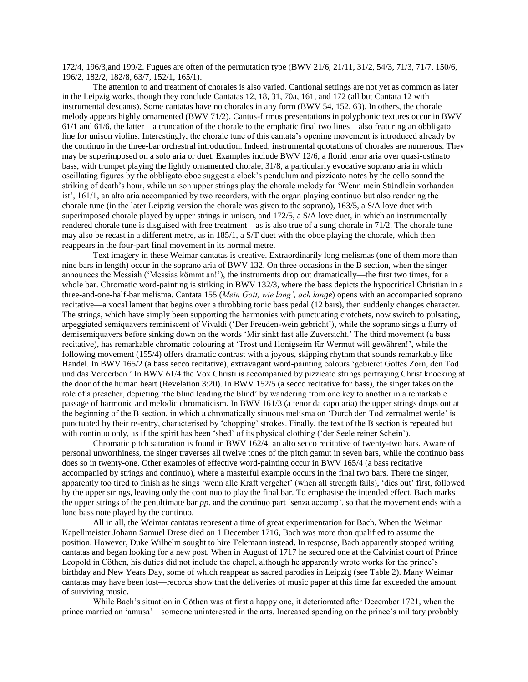172/4, 196/3,and 199/2. Fugues are often of the permutation type (BWV 21/6, 21/11, 31/2, 54/3, 71/3, 71/7, 150/6, 196/2, 182/2, 182/8, 63/7, 152/1, 165/1).

The attention to and treatment of chorales is also varied. Cantional settings are not yet as common as later in the Leipzig works, though they conclude Cantatas 12, 18, 31, 70a, 161, and 172 (all but Cantata 12 with instrumental descants). Some cantatas have no chorales in any form (BWV 54, 152, 63). In others, the chorale melody appears highly ornamented (BWV 71/2). Cantus-firmus presentations in polyphonic textures occur in BWV 61/1 and 61/6, the latter—a truncation of the chorale to the emphatic final two lines—also featuring an obbligato line for unison violins. Interestingly, the chorale tune of this cantata's opening movement is introduced already by the continuo in the three-bar orchestral introduction. Indeed, instrumental quotations of chorales are numerous. They may be superimposed on a solo aria or duet. Examples include BWV 12/6, a florid tenor aria over quasi-ostinato bass, with trumpet playing the lightly ornamented chorale, 31/8, a particularly evocative soprano aria in which oscillating figures by the obbligato oboe suggest a clock's pendulum and pizzicato notes by the cello sound the striking of death's hour, while unison upper strings play the chorale melody for 'Wenn mein Stündlein vorhanden ist', 161/1, an alto aria accompanied by two recorders, with the organ playing continuo but also rendering the chorale tune (in the later Leipzig version the chorale was given to the soprano), 163/5, a S/A love duet with superimposed chorale played by upper strings in unison, and 172/5, a S/A love duet, in which an instrumentally rendered chorale tune is disguised with free treatment—as is also true of a sung chorale in 71/2. The chorale tune may also be recast in a different metre, as in 185/1, a S/T duet with the oboe playing the chorale, which then reappears in the four-part final movement in its normal metre.

Text imagery in these Weimar cantatas is creative. Extraordinarily long melismas (one of them more than nine bars in length) occur in the soprano aria of BWV 132. On three occasions in the B section, when the singer announces the Messiah ('Messias kömmt an!'), the instruments drop out dramatically—the first two times, for a whole bar. Chromatic word-painting is striking in BWV 132/3, where the bass depicts the hypocritical Christian in a three-and-one-half-bar melisma. Cantata 155 (*Mein Gott, wie lang', ach lange*) opens with an accompanied soprano recitative—a vocal lament that begins over a throbbing tonic bass pedal (12 bars), then suddenly changes character. The strings, which have simply been supporting the harmonies with punctuating crotchets, now switch to pulsating, arpeggiated semiquavers reminiscent of Vivaldi ('Der Freuden-wein gebricht'), while the soprano sings a flurry of demisemiquavers before sinking down on the words 'Mir sinkt fast alle Zuversicht.' The third movement (a bass recitative), has remarkable chromatic colouring at 'Trost und Honigseim für Wermut will gewähren!', while the following movement (155/4) offers dramatic contrast with a joyous, skipping rhythm that sounds remarkably like Handel. In BWV 165/2 (a bass secco recitative), extravagant word-painting colours 'gebieret Gottes Zorn, den Tod und das Verderben.' In BWV 61/4 the Vox Christi is accompanied by pizzicato strings portraying Christ knocking at the door of the human heart (Revelation 3:20). In BWV 152/5 (a secco recitative for bass), the singer takes on the role of a preacher, depicting 'the blind leading the blind' by wandering from one key to another in a remarkable passage of harmonic and melodic chromaticism. In BWV 161/3 (a tenor da capo aria) the upper strings drops out at the beginning of the B section, in which a chromatically sinuous melisma on 'Durch den Tod zermalmet werde' is punctuated by their re-entry, characterised by 'chopping' strokes. Finally, the text of the B section is repeated but with continuo only, as if the spirit has been 'shed' of its physical clothing ('der Seele reiner Schein').

Chromatic pitch saturation is found in BWV 162/4, an alto secco recitative of twenty-two bars. Aware of personal unworthiness, the singer traverses all twelve tones of the pitch gamut in seven bars, while the continuo bass does so in twenty-one. Other examples of effective word-painting occur in BWV 165/4 (a bass recitative accompanied by strings and continuo), where a masterful example occurs in the final two bars. There the singer, apparently too tired to finish as he sings 'wenn alle Kraft vergehet' (when all strength fails), 'dies out' first, followed by the upper strings, leaving only the continuo to play the final bar. To emphasise the intended effect, Bach marks the upper strings of the penultimate bar *pp*, and the continuo part 'senza accomp', so that the movement ends with a lone bass note played by the continuo.

All in all, the Weimar cantatas represent a time of great experimentation for Bach. When the Weimar Kapellmeister Johann Samuel Drese died on 1 December 1716, Bach was more than qualified to assume the position. However, Duke Wilhelm sought to hire Telemann instead. In response, Bach apparently stopped writing cantatas and began looking for a new post. When in August of 1717 he secured one at the Calvinist court of Prince Leopold in Cöthen, his duties did not include the chapel, although he apparently wrote works for the prince's birthday and New Years Day, some of which reappear as sacred parodies in Leipzig (see Table 2). Many Weimar cantatas may have been lost—records show that the deliveries of music paper at this time far exceeded the amount of surviving music.

While Bach's situation in Cöthen was at first a happy one, it deteriorated after December 1721, when the prince married an 'amusa'—someone uninterested in the arts. Increased spending on the prince's military probably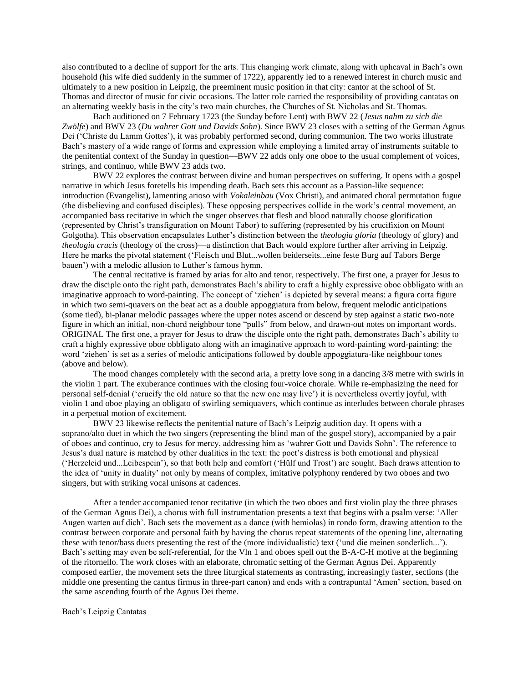also contributed to a decline of support for the arts. This changing work climate, along with upheaval in Bach's own household (his wife died suddenly in the summer of 1722), apparently led to a renewed interest in church music and ultimately to a new position in Leipzig, the preeminent music position in that city: cantor at the school of St. Thomas and director of music for civic occasions. The latter role carried the responsibility of providing cantatas on an alternating weekly basis in the city's two main churches, the Churches of St. Nicholas and St. Thomas.

Bach auditioned on 7 February 1723 (the Sunday before Lent) with BWV 22 (*Jesus nahm zu sich die Zwölfe*) and BWV 23 (*Du wahrer Gott und Davids Sohn*). Since BWV 23 closes with a setting of the German Agnus Dei ('Christe du Lamm Gottes'), it was probably performed second, during communion. The two works illustrate Bach's mastery of a wide range of forms and expression while employing a limited array of instruments suitable to the penitential context of the Sunday in question—BWV 22 adds only one oboe to the usual complement of voices, strings, and continuo, while BWV 23 adds two.

BWV 22 explores the contrast between divine and human perspectives on suffering. It opens with a gospel narrative in which Jesus foretells his impending death. Bach sets this account as a Passion-like sequence: introduction (Evangelist), lamenting arioso with *Vokaleinbau* (Vox Christi), and animated choral permutation fugue (the disbelieving and confused disciples). These opposing perspectives collide in the work's central movement, an accompanied bass recitative in which the singer observes that flesh and blood naturally choose glorification (represented by Christ's transfiguration on Mount Tabor) to suffering (represented by his crucifixion on Mount Golgotha). This observation encapsulates Luther's distinction between the *theologia gloria* (theology of glory) and *theologia crucis* (theology of the cross)—a distinction that Bach would explore further after arriving in Leipzig. Here he marks the pivotal statement ('Fleisch und Blut...wollen beiderseits...eine feste Burg auf Tabors Berge bauen') with a melodic allusion to Luther's famous hymn.

The central recitative is framed by arias for alto and tenor, respectively. The first one, a prayer for Jesus to draw the disciple onto the right path, demonstrates Bach's ability to craft a highly expressive oboe obbligato with an imaginative approach to word-painting. The concept of 'ziehen' is depicted by several means: a figura corta figure in which two semi-quavers on the beat act as a double appoggiatura from below, frequent melodic anticipations (some tied), bi-planar melodic passages where the upper notes ascend or descend by step against a static two-note figure in which an initial, non-chord neighbour tone "pulls" from below, and drawn-out notes on important words. ORIGINAL The first one, a prayer for Jesus to draw the disciple onto the right path, demonstrates Bach's ability to craft a highly expressive oboe obbligato along with an imaginative approach to word-painting word-painting: the word 'ziehen' is set as a series of melodic anticipations followed by double appoggiatura-like neighbour tones (above and below).

The mood changes completely with the second aria, a pretty love song in a dancing 3/8 metre with swirls in the violin 1 part. The exuberance continues with the closing four-voice chorale. While re-emphasizing the need for personal self-denial ('crucify the old nature so that the new one may live') it is nevertheless overtly joyful, with violin 1 and oboe playing an obligato of swirling semiquavers, which continue as interludes between chorale phrases in a perpetual motion of excitement.

BWV 23 likewise reflects the penitential nature of Bach's Leipzig audition day. It opens with a soprano/alto duet in which the two singers (representing the blind man of the gospel story), accompanied by a pair of oboes and continuo, cry to Jesus for mercy, addressing him as 'wahrer Gott und Davids Sohn'. The reference to Jesus's dual nature is matched by other dualities in the text: the poet's distress is both emotional and physical ('Herzeleid und...Leibespein'), so that both help and comfort ('Hülf und Trost') are sought. Bach draws attention to the idea of 'unity in duality' not only by means of complex, imitative polyphony rendered by two oboes and two singers, but with striking vocal unisons at cadences.

After a tender accompanied tenor recitative (in which the two oboes and first violin play the three phrases of the German Agnus Dei), a chorus with full instrumentation presents a text that begins with a psalm verse: 'Aller Augen warten auf dich'. Bach sets the movement as a dance (with hemiolas) in rondo form, drawing attention to the contrast between corporate and personal faith by having the chorus repeat statements of the opening line, alternating these with tenor/bass duets presenting the rest of the (more individualistic) text ('und die meinen sonderlich...'). Bach's setting may even be self-referential, for the Vln 1 and oboes spell out the B-A-C-H motive at the beginning of the ritornello. The work closes with an elaborate, chromatic setting of the German Agnus Dei. Apparently composed earlier, the movement sets the three liturgical statements as contrasting, increasingly faster, sections (the middle one presenting the cantus firmus in three-part canon) and ends with a contrapuntal 'Amen' section, based on the same ascending fourth of the Agnus Dei theme.

Bach's Leipzig Cantatas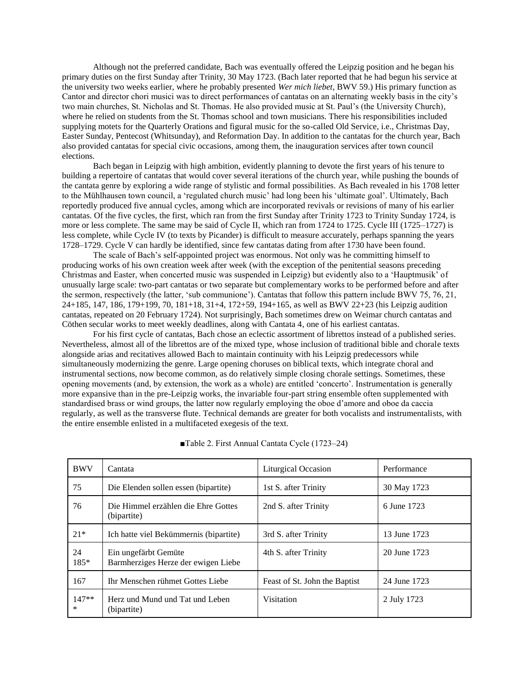Although not the preferred candidate, Bach was eventually offered the Leipzig position and he began his primary duties on the first Sunday after Trinity, 30 May 1723. (Bach later reported that he had begun his service at the university two weeks earlier, where he probably presented *Wer mich liebet*, BWV 59.) His primary function as Cantor and director chori musici was to direct performances of cantatas on an alternating weekly basis in the city's two main churches, St. Nicholas and St. Thomas. He also provided music at St. Paul's (the University Church), where he relied on students from the St. Thomas school and town musicians. There his responsibilities included supplying motets for the Quarterly Orations and figural music for the so-called Old Service, i.e., Christmas Day, Easter Sunday, Pentecost (Whitsunday), and Reformation Day. In addition to the cantatas for the church year, Bach also provided cantatas for special civic occasions, among them, the inauguration services after town council elections.

Bach began in Leipzig with high ambition, evidently planning to devote the first years of his tenure to building a repertoire of cantatas that would cover several iterations of the church year, while pushing the bounds of the cantata genre by exploring a wide range of stylistic and formal possibilities. As Bach revealed in his 1708 letter to the Mühlhausen town council, a 'regulated church music' had long been his 'ultimate goal'. Ultimately, Bach reportedly produced five annual cycles, among which are incorporated revivals or revisions of many of his earlier cantatas. Of the five cycles, the first, which ran from the first Sunday after Trinity 1723 to Trinity Sunday 1724, is more or less complete. The same may be said of Cycle II, which ran from 1724 to 1725. Cycle III (1725–1727) is less complete, while Cycle IV (to texts by Picander) is difficult to measure accurately, perhaps spanning the years 1728–1729. Cycle V can hardly be identified, since few cantatas dating from after 1730 have been found.

The scale of Bach's self-appointed project was enormous. Not only was he committing himself to producing works of his own creation week after week (with the exception of the penitential seasons preceding Christmas and Easter, when concerted music was suspended in Leipzig) but evidently also to a 'Hauptmusik' of unusually large scale: two-part cantatas or two separate but complementary works to be performed before and after the sermon, respectively (the latter, 'sub communione'). Cantatas that follow this pattern include BWV 75, 76, 21, 24+185, 147, 186, 179+199, 70, 181+18, 31+4, 172+59, 194+165, as well as BWV 22+23 (his Leipzig audition cantatas, repeated on 20 February 1724). Not surprisingly, Bach sometimes drew on Weimar church cantatas and Cöthen secular works to meet weekly deadlines, along with Cantata 4, one of his earliest cantatas.

For his first cycle of cantatas, Bach chose an eclectic assortment of librettos instead of a published series. Nevertheless, almost all of the librettos are of the mixed type, whose inclusion of traditional bible and chorale texts alongside arias and recitatives allowed Bach to maintain continuity with his Leipzig predecessors while simultaneously modernizing the genre. Large opening choruses on biblical texts, which integrate choral and instrumental sections, now become common, as do relatively simple closing chorale settings. Sometimes, these opening movements (and, by extension, the work as a whole) are entitled 'concerto'. Instrumentation is generally more expansive than in the pre-Leipzig works, the invariable four-part string ensemble often supplemented with standardised brass or wind groups, the latter now regularly employing the oboe d'amore and oboe da caccia regularly, as well as the transverse flute. Technical demands are greater for both vocalists and instrumentalists, with the entire ensemble enlisted in a multifaceted exegesis of the text.

| <b>BWV</b>        | Cantata                                                     | <b>Liturgical Occasion</b>    | Performance  |
|-------------------|-------------------------------------------------------------|-------------------------------|--------------|
| 75                | Die Elenden sollen essen (bipartite)                        | 1st S. after Trinity          | 30 May 1723  |
| 76                | Die Himmel erzählen die Ehre Gottes<br>(bipartite)          | 2nd S. after Trinity          | 6 June 1723  |
| $21*$             | Ich hatte viel Bekümmernis (bipartite)                      | 3rd S. after Trinity          | 13 June 1723 |
| 24<br>185*        | Ein ungefärbt Gemüte<br>Barmherziges Herze der ewigen Liebe | 4th S. after Trinity          | 20 June 1723 |
| 167               | Ihr Menschen rühmet Gottes Liebe                            | Feast of St. John the Baptist | 24 June 1723 |
| $147**$<br>$\ast$ | Herz und Mund und Tat und Leben<br>(bipartite)              | Visitation                    | 2 July 1723  |

■Table 2. First Annual Cantata Cycle (1723–24)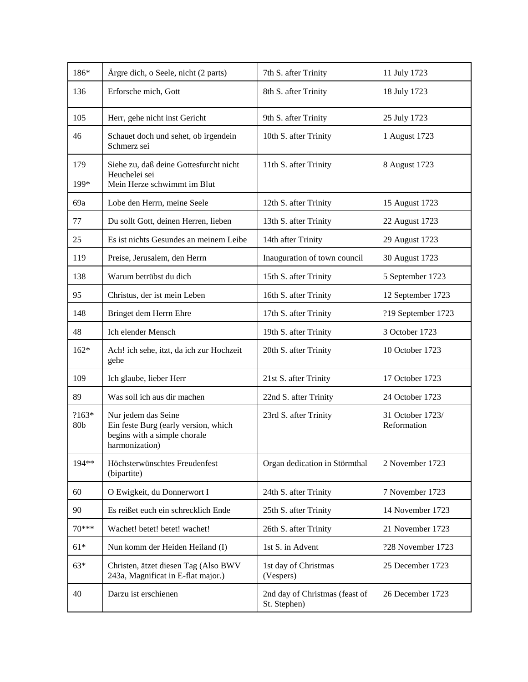| 186*         | Ärgre dich, o Seele, nicht (2 parts)                                                                          | 7th S. after Trinity                           | 11 July 1723                    |
|--------------|---------------------------------------------------------------------------------------------------------------|------------------------------------------------|---------------------------------|
| 136          | Erforsche mich, Gott                                                                                          | 8th S. after Trinity                           | 18 July 1723                    |
| 105          | Herr, gehe nicht inst Gericht                                                                                 | 9th S. after Trinity                           | 25 July 1723                    |
| 46           | Schauet doch und sehet, ob irgendein<br>Schmerz sei                                                           | 10th S. after Trinity                          | 1 August 1723                   |
| 179<br>199*  | Siehe zu, daß deine Gottesfurcht nicht<br>Heuchelei sei<br>Mein Herze schwimmt im Blut                        | 11th S. after Trinity                          | 8 August 1723                   |
| 69a          | Lobe den Herrn, meine Seele                                                                                   | 12th S. after Trinity                          | 15 August 1723                  |
| 77           | Du sollt Gott, deinen Herren, lieben                                                                          | 13th S. after Trinity                          | 22 August 1723                  |
| 25           | Es ist nichts Gesundes an meinem Leibe                                                                        | 14th after Trinity                             | 29 August 1723                  |
| 119          | Preise, Jerusalem, den Herrn                                                                                  | Inauguration of town council                   | 30 August 1723                  |
| 138          | Warum betrübst du dich                                                                                        | 15th S. after Trinity                          | 5 September 1723                |
| 95           | Christus, der ist mein Leben                                                                                  | 16th S. after Trinity                          | 12 September 1723               |
| 148          | Bringet dem Herrn Ehre                                                                                        | 17th S. after Trinity                          | ?19 September 1723              |
| 48           | Ich elender Mensch                                                                                            | 19th S. after Trinity                          | 3 October 1723                  |
| $162*$       | Ach! ich sehe, itzt, da ich zur Hochzeit<br>gehe                                                              | 20th S. after Trinity                          | 10 October 1723                 |
| 109          | Ich glaube, lieber Herr                                                                                       | 21st S. after Trinity                          | 17 October 1723                 |
| 89           | Was soll ich aus dir machen                                                                                   | 22nd S. after Trinity                          | 24 October 1723                 |
| ?163*<br>80b | Nur jedem das Seine<br>Ein feste Burg (early version, which<br>begins with a simple chorale<br>harmonization) | 23rd S. after Trinity                          | 31 October 1723/<br>Reformation |
| 194**        | Höchsterwünschtes Freudenfest<br>(bipartite)                                                                  | Organ dedication in Störmthal                  | 2 November 1723                 |
| 60           | O Ewigkeit, du Donnerwort I                                                                                   | 24th S. after Trinity                          | 7 November 1723                 |
| 90           | Es reißet euch ein schrecklich Ende                                                                           | 25th S. after Trinity                          | 14 November 1723                |
| 70***        | Wachet! betet! betet! wachet!                                                                                 | 26th S. after Trinity                          | 21 November 1723                |
| $61*$        | Nun komm der Heiden Heiland (I)                                                                               | 1st S. in Advent                               | ?28 November 1723               |
| $63*$        | Christen, ätzet diesen Tag (Also BWV<br>243a, Magnificat in E-flat major.)                                    | 1st day of Christmas<br>(Vespers)              | 25 December 1723                |
| 40           | Darzu ist erschienen                                                                                          | 2nd day of Christmas (feast of<br>St. Stephen) | 26 December 1723                |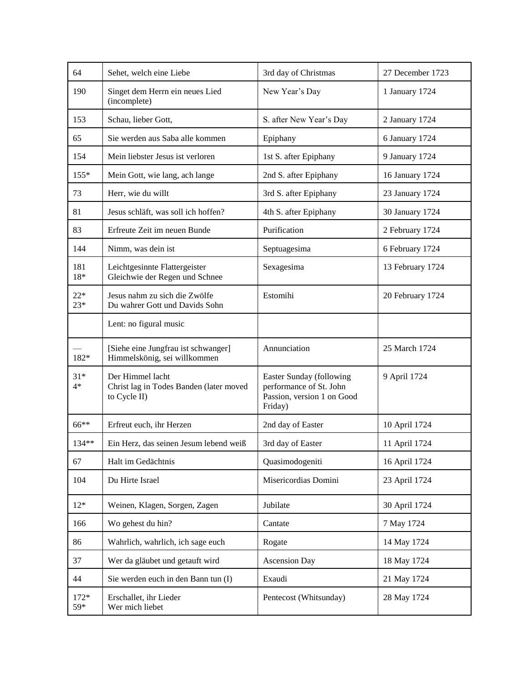| 64             | Sehet, welch eine Liebe                                                     | 3rd day of Christmas                                                                         | 27 December 1723 |
|----------------|-----------------------------------------------------------------------------|----------------------------------------------------------------------------------------------|------------------|
| 190            | Singet dem Herrn ein neues Lied<br>(incomplete)                             | New Year's Day                                                                               | 1 January 1724   |
| 153            | Schau, lieber Gott,                                                         | S. after New Year's Day                                                                      | 2 January 1724   |
| 65             | Sie werden aus Saba alle kommen                                             | Epiphany                                                                                     | 6 January 1724   |
| 154            | Mein liebster Jesus ist verloren                                            | 1st S. after Epiphany                                                                        | 9 January 1724   |
| $155*$         | Mein Gott, wie lang, ach lange                                              | 2nd S. after Epiphany                                                                        | 16 January 1724  |
| 73             | Herr, wie du willt                                                          | 3rd S. after Epiphany                                                                        | 23 January 1724  |
| 81             | Jesus schläft, was soll ich hoffen?                                         | 4th S. after Epiphany                                                                        | 30 January 1724  |
| 83             | Erfreute Zeit im neuen Bunde                                                | Purification                                                                                 | 2 February 1724  |
| 144            | Nimm, was dein ist                                                          | Septuagesima                                                                                 | 6 February 1724  |
| 181<br>$18*$   | Leichtgesinnte Flattergeister<br>Gleichwie der Regen und Schnee             | Sexagesima                                                                                   | 13 February 1724 |
| $22*$<br>$23*$ | Jesus nahm zu sich die Zwölfe<br>Du wahrer Gott und Davids Sohn             | Estomihi                                                                                     | 20 February 1724 |
|                | Lent: no figural music                                                      |                                                                                              |                  |
| 182*           | [Siehe eine Jungfrau ist schwanger]<br>Himmelskönig, sei willkommen         | Annunciation                                                                                 | 25 March 1724    |
| $31*$<br>$4*$  | Der Himmel lacht<br>Christ lag in Todes Banden (later moved<br>to Cycle II) | Easter Sunday (following<br>performance of St. John<br>Passion, version 1 on Good<br>Friday) | 9 April 1724     |
| 66**           | Erfreut euch, ihr Herzen                                                    | 2nd day of Easter                                                                            | 10 April 1724    |
| 134**          | Ein Herz, das seinen Jesum lebend weiß                                      | 3rd day of Easter                                                                            | 11 April 1724    |
| 67             | Halt im Gedächtnis                                                          | Quasimodogeniti                                                                              | 16 April 1724    |
| 104            | Du Hirte Israel                                                             | Misericordias Domini                                                                         | 23 April 1724    |
| $12*$          | Weinen, Klagen, Sorgen, Zagen                                               | Jubilate                                                                                     | 30 April 1724    |
| 166            | Wo gehest du hin?                                                           | Cantate                                                                                      | 7 May 1724       |
| 86             | Wahrlich, wahrlich, ich sage euch                                           | Rogate                                                                                       | 14 May 1724      |
| 37             | Wer da gläubet und getauft wird                                             | <b>Ascension Day</b>                                                                         | 18 May 1724      |
| 44             | Sie werden euch in den Bann tun (I)                                         | Exaudi                                                                                       | 21 May 1724      |
| $172*$<br>59*  | Erschallet, ihr Lieder<br>Wer mich liebet                                   | Pentecost (Whitsunday)                                                                       | 28 May 1724      |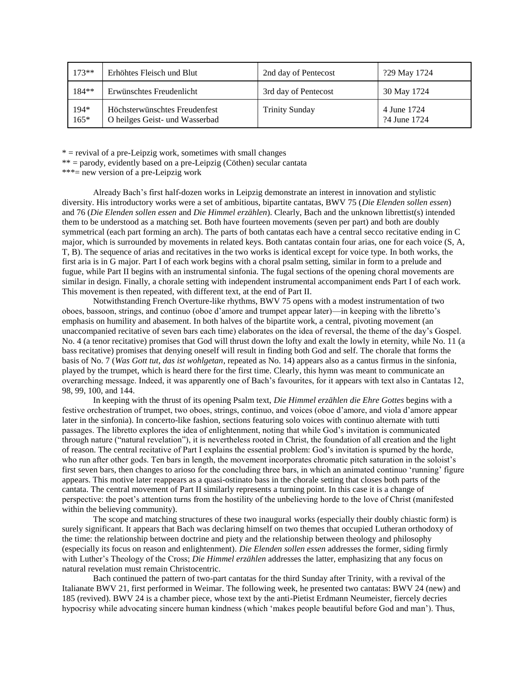| $173**$        | Erhöhtes Fleisch und Blut                                       | 2nd day of Pentecost  | ?29 May 1724                |
|----------------|-----------------------------------------------------------------|-----------------------|-----------------------------|
| 184**          | Erwünschtes Freudenlicht                                        | 3rd day of Pentecost  | 30 May 1724                 |
| 194*<br>$165*$ | Höchsterwünschtes Freudenfest<br>O heilges Geist- und Wasserbad | <b>Trinity Sunday</b> | 4 June 1724<br>?4 June 1724 |

 $*$  = revival of a pre-Leipzig work, sometimes with small changes

\*\* = parody, evidently based on a pre-Leipzig (Cöthen) secular cantata

\*\*\*= new version of a pre-Leipzig work

Already Bach's first half-dozen works in Leipzig demonstrate an interest in innovation and stylistic diversity. His introductory works were a set of ambitious, bipartite cantatas, BWV 75 (*Die Elenden sollen essen*) and 76 (*Die Elenden sollen essen* and *Die Himmel erzählen*). Clearly, Bach and the unknown librettist(s) intended them to be understood as a matching set. Both have fourteen movements (seven per part) and both are doubly symmetrical (each part forming an arch). The parts of both cantatas each have a central secco recitative ending in C major, which is surrounded by movements in related keys. Both cantatas contain four arias, one for each voice (S, A, T, B). The sequence of arias and recitatives in the two works is identical except for voice type. In both works, the first aria is in G major. Part I of each work begins with a choral psalm setting, similar in form to a prelude and fugue, while Part II begins with an instrumental sinfonia. The fugal sections of the opening choral movements are similar in design. Finally, a chorale setting with independent instrumental accompaniment ends Part I of each work. This movement is then repeated, with different text, at the end of Part II.

Notwithstanding French Overture-like rhythms, BWV 75 opens with a modest instrumentation of two oboes, bassoon, strings, and continuo (oboe d'amore and trumpet appear later)—in keeping with the libretto's emphasis on humility and abasement. In both halves of the bipartite work, a central, pivoting movement (an unaccompanied recitative of seven bars each time) elaborates on the idea of reversal, the theme of the day's Gospel. No. 4 (a tenor recitative) promises that God will thrust down the lofty and exalt the lowly in eternity, while No. 11 (a bass recitative) promises that denying oneself will result in finding both God and self. The chorale that forms the basis of No. 7 (*Was Gott tut, das ist wohlgetan*, repeated as No. 14) appears also as a cantus firmus in the sinfonia, played by the trumpet, which is heard there for the first time. Clearly, this hymn was meant to communicate an overarching message. Indeed, it was apparently one of Bach's favourites, for it appears with text also in Cantatas 12, 98, 99, 100, and 144.

In keeping with the thrust of its opening Psalm text, *Die Himmel erzählen die Ehre Gottes* begins with a festive orchestration of trumpet, two oboes, strings, continuo, and voices (oboe d'amore, and viola d'amore appear later in the sinfonia). In concerto-like fashion, sections featuring solo voices with continuo alternate with tutti passages. The libretto explores the idea of enlightenment, noting that while God's invitation is communicated through nature ("natural revelation"), it is nevertheless rooted in Christ, the foundation of all creation and the light of reason. The central recitative of Part I explains the essential problem: God's invitation is spurned by the horde, who run after other gods. Ten bars in length, the movement incorporates chromatic pitch saturation in the soloist's first seven bars, then changes to arioso for the concluding three bars, in which an animated continuo 'running' figure appears. This motive later reappears as a quasi-ostinato bass in the chorale setting that closes both parts of the cantata. The central movement of Part II similarly represents a turning point. In this case it is a change of perspective: the poet's attention turns from the hostility of the unbelieving horde to the love of Christ (manifested within the believing community).

The scope and matching structures of these two inaugural works (especially their doubly chiastic form) is surely significant. It appears that Bach was declaring himself on two themes that occupied Lutheran orthodoxy of the time: the relationship between doctrine and piety and the relationship between theology and philosophy (especially its focus on reason and enlightenment). *Die Elenden sollen essen* addresses the former, siding firmly with Luther's Theology of the Cross; *Die Himmel erzählen* addresses the latter, emphasizing that any focus on natural revelation must remain Christocentric.

Bach continued the pattern of two-part cantatas for the third Sunday after Trinity, with a revival of the Italianate BWV 21, first performed in Weimar. The following week, he presented two cantatas: BWV 24 (new) and 185 (revived). BWV 24 is a chamber piece, whose text by the anti-Pietist Erdmann Neumeister, fiercely decries hypocrisy while advocating sincere human kindness (which 'makes people beautiful before God and man'). Thus,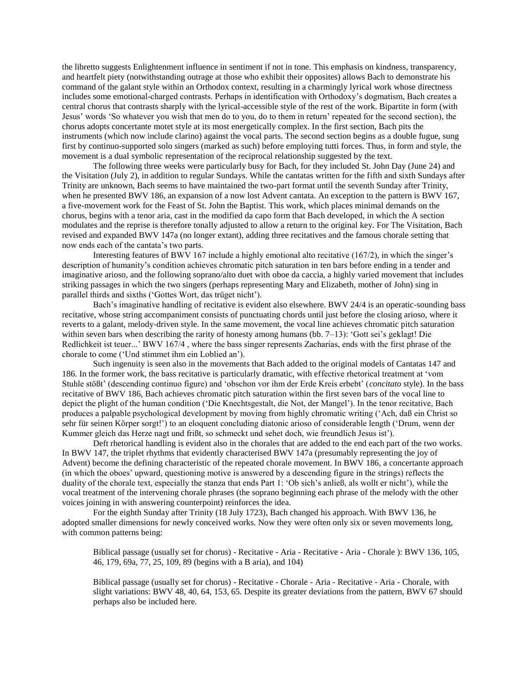the libretto suggests Enlightenment influence in sentiment if not in tone. This emphasis on kindness, transparency, and heartfelt piety (notwithstanding outrage at those who exhibit their opposites) allows Bach to demonstrate his command of the galant style within an Orthodox context, resulting in a charmingly lyrical work whose directness includes some emotional-charged contrasts. Perhaps in identification with Orthodoxy's dogmatism, Bach creates a central chorus that contrasts sharply with the lyrical-accessible style of the rest of the work. Bipartite in form (with Jesus' words 'So whatever you wish that men do to you, do to them in return' repeated for the second section), the chorus adopts concertante motet style at its most energetically complex. In the first section, Bach pits the instruments (which now include clarino) against the vocal parts. The second section begins as a double fugue, sung first by continuo-supported solo singers (marked as such) before employing tutti forces. Thus, in form and style, the movement is a dual symbolic representation of the reciprocal relationship suggested by the text.

The following three weeks were particularly busy for Bach, for they included St. John Day (June 24) and the Visitation (July 2), in addition to regular Sundays. While the cantatas written for the fifth and sixth Sundays after Trinity are unknown, Bach seems to have maintained the two-part format until the seventh Sunday after Trinity, when he presented BWV 186, an expansion of a now lost Advent cantata. An exception to the pattern is BWV 167, a five-movement work for the Feast of St. John the Baptist. This work, which places minimal demands on the chorus, begins with a tenor aria, cast in the modified da capo form that Bach developed, in which the A section modulates and the reprise is therefore tonally adjusted to allow a return to the original key. For The Visitation, Bach revised and expanded BWV 147a (no longer extant), adding three recitatives and the famous chorale setting that now ends each of the cantata's two parts.

Interesting features of BWV 167 include a highly emotional alto recitative (167/2), in which the singer's description of humanity's condition achieves chromatic pitch saturation in ten bars before ending in a tender and imaginative arioso, and the following soprano/alto duet with oboe da caccia, a highly varied movement that includes striking passages in which the two singers (perhaps representing Mary and Elizabeth, mother of John) sing in parallel thirds and sixths ('Gottes Wort, das trüget nicht').

Bach's imaginative handling of recitative is evident also elsewhere. BWV 24/4 is an operatic-sounding bass recitative, whose string accompaniment consists of punctuating chords until just before the closing arioso, where it reverts to a galant, melody-driven style. In the same movement, the vocal line achieves chromatic pitch saturation within seven bars when describing the rarity of honesty among humans (bb. 7–13): 'Gott sei's geklagt! Die Redlichkeit ist teuer...' BWV 167/4 , where the bass singer represents Zacharias, ends with the first phrase of the chorale to come ('Und stimmet ihm ein Loblied an').

Such ingenuity is seen also in the movements that Bach added to the original models of Cantatas 147 and 186. In the former work, the bass recitative is particularly dramatic, with effective rhetorical treatment at 'vom Stuhle stößt' (descending continuo figure) and 'obschon vor ihm der Erde Kreis erbebt' (*concitato* style). In the bass recitative of BWV 186, Bach achieves chromatic pitch saturation within the first seven bars of the vocal line to depict the plight of the human condition ('Die Knechtsgestalt, die Not, der Mangel'). In the tenor recitative, Bach produces a palpable psychological development by moving from highly chromatic writing ('Ach, daß ein Christ so sehr für seinen Körper sorgt!') to an eloquent concluding diatonic arioso of considerable length ('Drum, wenn der Kummer gleich das Herze nagt und frißt, so schmeckt und sehet doch, wie freundlich Jesus ist').

Deft rhetorical handling is evident also in the chorales that are added to the end each part of the two works. In BWV 147, the triplet rhythms that evidently characterised BWV 147a (presumably representing the joy of Advent) become the defining characteristic of the repeated chorale movement. In BWV 186, a concertante approach (in which the oboes' upward, questioning motive is answered by a descending figure in the strings) reflects the duality of the chorale text, especially the stanza that ends Part 1: 'Ob sich's anließ, als wollt er nicht'), while the vocal treatment of the intervening chorale phrases (the soprano beginning each phrase of the melody with the other voices joining in with answering counterpoint) reinforces the idea.

For the eighth Sunday after Trinity (18 July 1723), Bach changed his approach. With BWV 136, he adopted smaller dimensions for newly conceived works. Now they were often only six or seven movements long, with common patterns being:

Biblical passage (usually set for chorus) - Recitative - Aria - Recitative - Aria - Chorale ): BWV 136, 105, 46, 179, 69a, 77, 25, 109, 89 (begins with a B aria), and 104)

Biblical passage (usually set for chorus) - Recitative - Chorale - Aria - Recitative - Aria - Chorale, with slight variations: BWV 48, 40, 64, 153, 65. Despite its greater deviations from the pattern, BWV 67 should perhaps also be included here.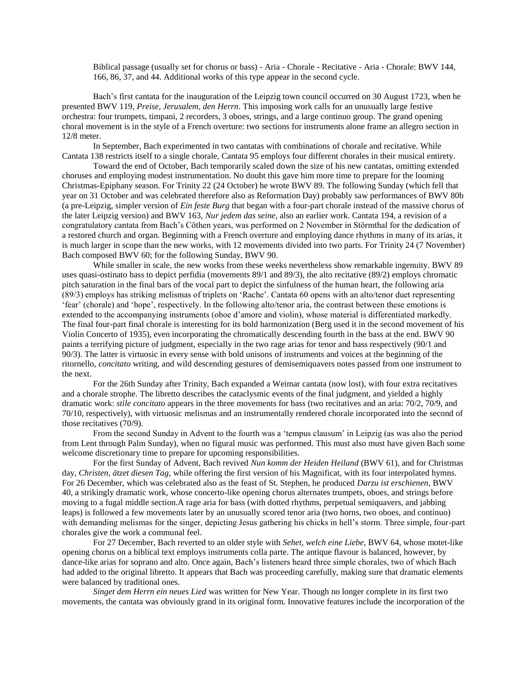Biblical passage (usually set for chorus or bass) - Aria - Chorale - Recitative - Aria - Chorale: BWV 144, 166, 86, 37, and 44. Additional works of this type appear in the second cycle.

Bach's first cantata for the inauguration of the Leipzig town council occurred on 30 August 1723, when he presented BWV 119, *Preise, Jerusalem, den Herrn*. This imposing work calls for an unusually large festive orchestra: four trumpets, timpani, 2 recorders, 3 oboes, strings, and a large continuo group. The grand opening choral movement is in the style of a French overture: two sections for instruments alone frame an allegro section in 12/8 meter.

In September, Bach experimented in two cantatas with combinations of chorale and recitative. While Cantata 138 restricts itself to a single chorale, Cantata 95 employs four different chorales in their musical entirety.

Toward the end of October, Bach temporarily scaled down the size of his new cantatas, omitting extended choruses and employing modest instrumentation. No doubt this gave him more time to prepare for the looming Christmas-Epiphany season. For Trinity 22 (24 October) he wrote BWV 89. The following Sunday (which fell that year on 31 October and was celebrated therefore also as Reformation Day) probably saw performances of BWV 80b (a pre-Leipzig, simpler version of *Ein feste Burg* that began with a four-part chorale instead of the massive chorus of the later Leipzig version) and BWV 163, *Nur jedem das seine*, also an earlier work. Cantata 194, a revision of a congratulatory cantata from Bach's Cöthen years, was performed on 2 November in Störmthal for the dedication of a restored church and organ. Beginning with a French overture and employing dance rhythms in many of its arias, it is much larger in scope than the new works, with 12 movements divided into two parts. For Trinity 24 (7 November) Bach composed BWV 60; for the following Sunday, BWV 90.

While smaller in scale, the new works from these weeks nevertheless show remarkable ingenuity. BWV 89 uses quasi-ostinato bass to depict perfidia (movements 89/1 and 89/3), the alto recitative (89/2) employs chromatic pitch saturation in the final bars of the vocal part to depict the sinfulness of the human heart, the following aria (89/3) employs has striking melismas of triplets on 'Rache'. Cantata 60 opens with an alto/tenor duet representing 'fear' (chorale) and 'hope', respectively. In the following alto/tenor aria, the contrast between these emotions is extended to the accompanying instruments (oboe d'amore and violin), whose material is differentiated markedly. The final four-part final chorale is interesting for its bold harmonization (Berg used it in the second movement of his Violin Concerto of 1935), even incorporating the chromatically descending fourth in the bass at the end. BWV 90 paints a terrifying picture of judgment, especially in the two rage arias for tenor and bass respectively (90/1 and 90/3). The latter is virtuosic in every sense with bold unisons of instruments and voices at the beginning of the ritornello, *concitato* writing, and wild descending gestures of demisemiquavers notes passed from one instrument to the next.

For the 26th Sunday after Trinity, Bach expanded a Weimar cantata (now lost), with four extra recitatives and a chorale strophe. The libretto describes the cataclysmic events of the final judgment, and yielded a highly dramatic work: *stile concitato* appears in the three movements for bass (two recitatives and an aria: 70/2, 70/9, and 70/10, respectively), with virtuosic melismas and an instrumentally rendered chorale incorporated into the second of those recitatives (70/9).

From the second Sunday in Advent to the fourth was a 'tempus clausum' in Leipzig (as was also the period from Lent through Palm Sunday), when no figural music was performed. This must also must have given Bach some welcome discretionary time to prepare for upcoming responsibilities.

For the first Sunday of Advent, Bach revived *Nun komm der Heiden Heiland* (BWV 61), and for Christmas day, *Christen, ätzet diesen Tag*, while offering the first version of his Magnificat, with its four interpolated hymns. For 26 December, which was celebrated also as the feast of St. Stephen, he produced *Darzu ist erschienen*, BWV 40, a strikingly dramatic work, whose concerto-like opening chorus alternates trumpets, oboes, and strings before moving to a fugal middle section.A rage aria for bass (with dotted rhythms, perpetual semiquavers, and jabbing leaps) is followed a few movements later by an unusually scored tenor aria (two horns, two oboes, and continuo) with demanding melismas for the singer, depicting Jesus gathering his chicks in hell's storm. Three simple, four-part chorales give the work a communal feel.

For 27 December, Bach reverted to an older style with *Sehet, welch eine Liebe*, BWV 64, whose motet-like opening chorus on a biblical text employs instruments colla parte. The antique flavour is balanced, however, by dance-like arias for soprano and alto. Once again, Bach's listeners heard three simple chorales, two of which Bach had added to the original libretto. It appears that Bach was proceeding carefully, making sure that dramatic elements were balanced by traditional ones.

*Singet dem Herrn ein neues Lied* was written for New Year. Though no longer complete in its first two movements, the cantata was obviously grand in its original form. Innovative features include the incorporation of the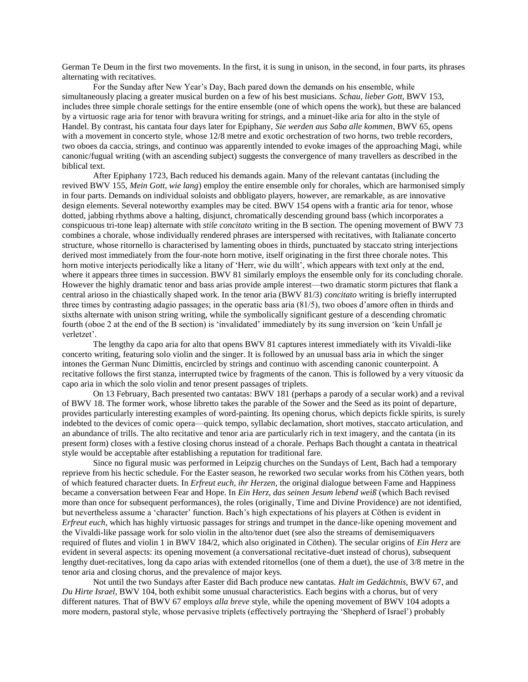German Te Deum in the first two movements. In the first, it is sung in unison, in the second, in four parts, its phrases alternating with recitatives.

For the Sunday after New Year's Day, Bach pared down the demands on his ensemble, while simultaneously placing a greater musical burden on a few of his best musicians. *Schau, lieber Gott*, BWV 153, includes three simple chorale settings for the entire ensemble (one of which opens the work), but these are balanced by a virtuosic rage aria for tenor with bravura writing for strings, and a minuet-like aria for alto in the style of Handel. By contrast, his cantata four days later for Epiphany, *Sie werden aus Saba alle kommen*, BWV 65, opens with a movement in concerto style, whose  $12/8$  metre and exotic orchestration of two horns, two treble recorders, two oboes da caccia, strings, and continuo was apparently intended to evoke images of the approaching Magi, while canonic/fugual writing (with an ascending subject) suggests the convergence of many travellers as described in the biblical text.

After Epiphany 1723, Bach reduced his demands again. Many of the relevant cantatas (including the revived BWV 155, *Mein Gott, wie lang*) employ the entire ensemble only for chorales, which are harmonised simply in four parts. Demands on individual soloists and obbligato players, however, are remarkable, as are innovative design elements. Several noteworthy examples may be cited. BWV 154 opens with a frantic aria for tenor, whose dotted, jabbing rhythms above a halting, disjunct, chromatically descending ground bass (which incorporates a conspicuous tri-tone leap) alternate with *stile concitato* writing in the B section. The opening movement of BWV 73 combines a chorale, whose individually rendered phrases are interspersed with recitatives, with Italianate concerto structure, whose ritornello is characterised by lamenting oboes in thirds, punctuated by staccato string interjections derived most immediately from the four-note horn motive, itself originating in the first three chorale notes. This horn motive interjects periodically like a litany of 'Herr, wie du willt', which appears with text only at the end, where it appears three times in succession. BWV 81 similarly employs the ensemble only for its concluding chorale. However the highly dramatic tenor and bass arias provide ample interest—two dramatic storm pictures that flank a central arioso in the chiastically shaped work. In the tenor aria (BWV 81/3) *concitato* writing is briefly interrupted three times by contrasting adagio passages; in the operatic bass aria (81/5), two oboes d'amore often in thirds and sixths alternate with unison string writing, while the symbolically significant gesture of a descending chromatic fourth (oboe 2 at the end of the B section) is 'invalidated' immediately by its sung inversion on 'kein Unfall je verletzet'.

The lengthy da capo aria for alto that opens BWV 81 captures interest immediately with its Vivaldi-like concerto writing, featuring solo violin and the singer. It is followed by an unusual bass aria in which the singer intones the German Nunc Dimittis, encircled by strings and continuo with ascending canonic counterpoint. A recitative follows the first stanza, interrupted twice by fragments of the canon. This is followed by a very vituosic da capo aria in which the solo violin and tenor present passages of triplets.

On 13 February, Bach presented two cantatas: BWV 181 (perhaps a parody of a secular work) and a revival of BWV 18. The former work, whose libretto takes the parable of the Sower and the Seed as its point of departure, provides particularly interesting examples of word-painting. Its opening chorus, which depicts fickle spirits, is surely indebted to the devices of comic opera—quick tempo, syllabic declamation, short motives, staccato articulation, and an abundance of trills. The alto recitative and tenor aria are particularly rich in text imagery, and the cantata (in its present form) closes with a festive closing chorus instead of a chorale. Perhaps Bach thought a cantata in theatrical style would be acceptable after establishing a reputation for traditional fare.

Since no figural music was performed in Leipzig churches on the Sundays of Lent, Bach had a temporary reprieve from his hectic schedule. For the Easter season, he reworked two secular works from his Cöthen years, both of which featured character duets. In *Erfreut euch, ihr Herzen*, the original dialogue between Fame and Happiness became a conversation between Fear and Hope. In *Ein Herz, das seinen Jesum lebend weiß* (which Bach revised more than once for subsequent performances), the roles (originally, Time and Divine Providence) are not identified, but nevertheless assume a 'character' function. Bach's high expectations of his players at Cöthen is evident in *Erfreut euch*, which has highly virtuosic passages for strings and trumpet in the dance-like opening movement and the Vivaldi-like passage work for solo violin in the alto/tenor duet (see also the streams of demisemiquavers required of flutes and violin 1 in BWV 184/2, which also originated in Cöthen). The secular origins of *Ein Herz* are evident in several aspects: its opening movement (a conversational recitative-duet instead of chorus), subsequent lengthy duet-recitatives, long da capo arias with extended ritornellos (one of them a duet), the use of 3/8 metre in the tenor aria and closing chorus, and the prevalence of major keys.

Not until the two Sundays after Easter did Bach produce new cantatas. *Halt im Gedächtnis*, BWV 67, and *Du Hirte Israel*, BWV 104, both exhibit some unusual characteristics. Each begins with a chorus, but of very different natures. That of BWV 67 employs *alla breve* style, while the opening movement of BWV 104 adopts a more modern, pastoral style, whose pervasive triplets (effectively portraying the 'Shepherd of Israel') probably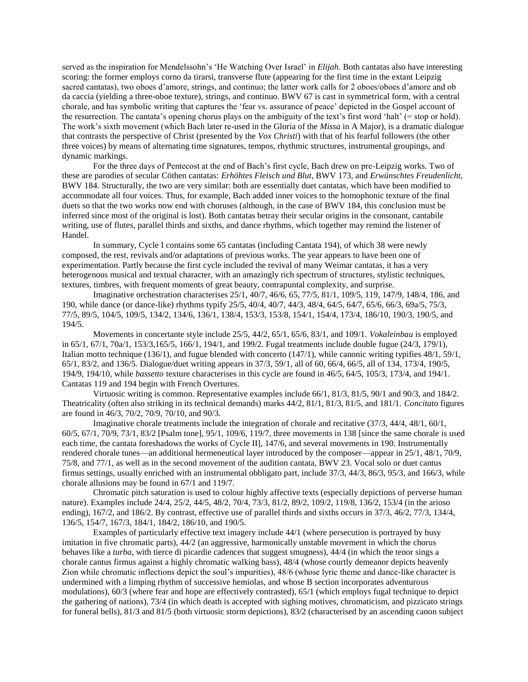served as the inspiration for Mendelssohn's 'He Watching Over Israel' in *Elijah.* Both cantatas also have interesting scoring: the former employs corno da tirarsi, transverse flute (appearing for the first time in the extant Leipzig sacred cantatas), two oboes d'amore, strings, and continuo; the latter work calls for 2 oboes/oboes d'amore and ob da caccia (yielding a three-oboe texture), strings, and continuo. BWV 67 is cast in symmetrical form, with a central chorale, and has symbolic writing that captures the 'fear vs. assurance of peace' depicted in the Gospel account of the resurrection. The cantata's opening chorus plays on the ambiguity of the text's first word 'halt' (= stop or hold). The work's sixth movement (which Bach later re-used in the Gloria of the *Missa* in A Major), is a dramatic dialogue that contrasts the perspective of Christ (presented by the *Vox Christi*) with that of his fearful followers (the other three voices) by means of alternating time signatures, tempos, rhythmic structures, instrumental groupings, and dynamic markings.

For the three days of Pentecost at the end of Bach's first cycle, Bach drew on pre-Leipzig works. Two of these are parodies of secular Cöthen cantatas: *Erhöhtes Fleisch und Blut*, BWV 173, and *Erwünschtes Freudenlicht*, BWV 184. Structurally, the two are very similar: both are essentially duet cantatas, which have been modified to accommodate all four voices. Thus, for example, Bach added inner voices to the homophonic texture of the final duets so that the two works now end with choruses (although, in the case of BWV 184, this conclusion must be inferred since most of the original is lost). Both cantatas betray their secular origins in the consonant, cantabile writing, use of flutes, parallel thirds and sixths, and dance rhythms, which together may remind the listener of Handel.

In summary, Cycle I contains some 65 cantatas (including Cantata 194), of which 38 were newly composed, the rest, revivals and/or adaptations of previous works. The year appears to have been one of experimentation. Partly because the first cycle included the revival of many Weimar cantatas, it has a very heterogenous musical and textual character, with an amazingly rich spectrum of structures, stylistic techniques, textures, timbres, with frequent moments of great beauty, contrapuntal complexity, and surprise.

Imaginative orchestration characterises 25/1, 40/7, 46/6, 65, 77/5, 81/1, 109/5, 119, 147/9, 148/4, 186, and 190, while dance (or dance-like) rhythms typify 25/5, 40/4, 40/7, 44/3, 48/4, 64/5, 64/7, 65/6, 66/3, 69a/5, 75/3, 77/5, 89/5, 104/5, 109/5, 134/2, 134/6, 136/1, 138/4, 153/3, 153/8, 154/1, 154/4, 173/4, 186/10, 190/3, 190/5, and 194/5.

Movements in concertante style include 25/5, 44/2, 65/1, 65/6, 83/1, and 109/1. *Vokaleinbau* is employed in 65/1, 67/1, 70a/1, 153/3,165/5, 166/1, 194/1, and 199/2. Fugal treatments include double fugue (24/3, 179/1), Italian motto technique (136/1), and fugue blended with concerto (147/1), while canonic writing typifies 48/1, 59/1, 65/1, 83/2, and 136/5. Dialogue/duet writing appears in 37/3, 59/1, all of 60, 66/4, 66/5, all of 134, 173/4, 190/5, 194/9, 194/10, while *bassetto* texture characterises in this cycle are found in 46/5, 64/5, 105/3, 173/4, and 194/1. Cantatas 119 and 194 begin with French Overtures.

Virtuosic writing is common. Representative examples include 66/1, 81/3, 81/5, 90/1 and 90/3, and 184/2. Theatricality (often also striking in its technical demands) marks 44/2, 81/1, 81/3, 81/5, and 181/1. *Concitato* figures are found in 46/3, 70/2, 70/9, 70/10, and 90/3.

Imaginative chorale treatments include the integration of chorale and recitative (37/3, 44/4, 48/1, 60/1, 60/5, 67/1, 70/9, 73/1, 83/2 [Psalm tone], 95/1, 109/6, 119/7, three movements in 138 [since the same chorale is used each time, the cantata foreshadows the works of Cycle II], 147/6, and several movements in 190. Instrumentally rendered chorale tunes—an additional hermeneutical layer introduced by the composer—appear in 25/1, 48/1, 70/9, 75/8, and 77/1, as well as in the second movement of the audition cantata, BWV 23. Vocal solo or duet cantus firmus settings, usually enriched with an instrumental obbligato part, include 37/3, 44/3, 86/3, 95/3, and 166/3, while chorale allusions may be found in 67/1 and 119/7.

Chromatic pitch saturation is used to colour highly affective texts (especially depictions of perverse human nature). Examples include 24/4, 25/2, 44/5, 48/2, 70/4, 73/3, 81/2, 89/2, 109/2, 119/8, 136/2, 153/4 (in the arioso ending), 167/2, and 186/2. By contrast, effective use of parallel thirds and sixths occurs in 37/3, 46/2, 77/3, 134/4, 136/5, 154/7, 167/3, 184/1, 184/2, 186/10, and 190/5.

Examples of particularly effective text imagery include 44/1 (where persecution is portrayed by busy imitation in five chromatic parts), 44/2 (an aggressive, harmonically unstable movement in which the chorus behaves like a *turba*, with tierce di picardie cadences that suggest smugness), 44/4 (in which the tenor sings a chorale cantus firmus against a highly chromatic walking bass), 48/4 (whose courtly demeanor depicts heavenly Zion while chromatic inflections depict the soul's impurities), 48/6 (whose lyric theme and dance-like character is undermined with a limping rhythm of successive hemiolas, and whose B section incorporates adventurous modulations), 60/3 (where fear and hope are effectively contrasted), 65/1 (which employs fugal technique to depict the gathering of nations), 73/4 (in which death is accepted with sighing motives, chromaticism, and pizzicato strings for funeral bells), 81/3 and 81/5 (both virtuosic storm depictions), 83/2 (characterised by an ascending canon subject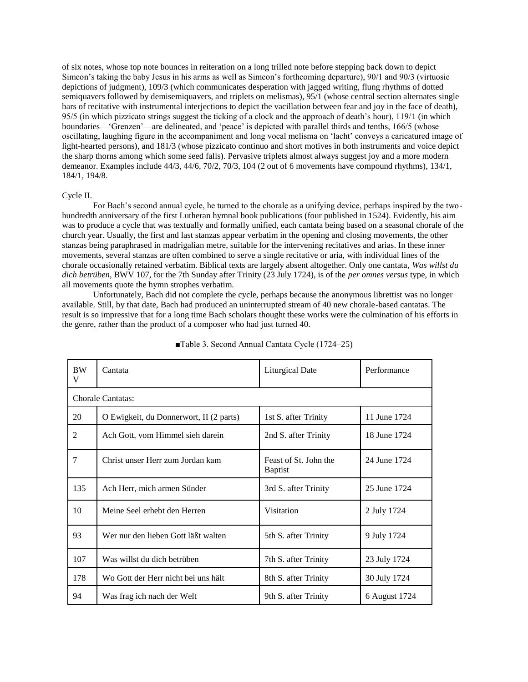of six notes, whose top note bounces in reiteration on a long trilled note before stepping back down to depict Simeon's taking the baby Jesus in his arms as well as Simeon's forthcoming departure), 90/1 and 90/3 (virtuosic depictions of judgment), 109/3 (which communicates desperation with jagged writing, flung rhythms of dotted semiquavers followed by demisemiquavers, and triplets on melismas), 95/1 (whose central section alternates single bars of recitative with instrumental interjections to depict the vacillation between fear and joy in the face of death), 95/5 (in which pizzicato strings suggest the ticking of a clock and the approach of death's hour), 119/1 (in which boundaries—'Grenzen'—are delineated, and 'peace' is depicted with parallel thirds and tenths, 166/5 (whose oscillating, laughing figure in the accompaniment and long vocal melisma on 'lacht' conveys a caricatured image of light-hearted persons), and 181/3 (whose pizzicato continuo and short motives in both instruments and voice depict the sharp thorns among which some seed falls). Pervasive triplets almost always suggest joy and a more modern demeanor. Examples include 44/3, 44/6, 70/2, 70/3, 104 (2 out of 6 movements have compound rhythms), 134/1, 184/1, 194/8.

### Cycle II.

For Bach's second annual cycle, he turned to the chorale as a unifying device, perhaps inspired by the twohundredth anniversary of the first Lutheran hymnal book publications (four published in 1524). Evidently, his aim was to produce a cycle that was textually and formally unified, each cantata being based on a seasonal chorale of the church year. Usually, the first and last stanzas appear verbatim in the opening and closing movements, the other stanzas being paraphrased in madrigalian metre, suitable for the intervening recitatives and arias. In these inner movements, several stanzas are often combined to serve a single recitative or aria, with individual lines of the chorale occasionally retained verbatim. Biblical texts are largely absent altogether. Only one cantata, *Was willst du dich betrüben*, BWV 107, for the 7th Sunday after Trinity (23 July 1724), is of the *per omnes versus* type, in which all movements quote the hymn strophes verbatim.

Unfortunately, Bach did not complete the cycle, perhaps because the anonymous librettist was no longer available. Still, by that date, Bach had produced an uninterrupted stream of 40 new chorale-based cantatas. The result is so impressive that for a long time Bach scholars thought these works were the culmination of his efforts in the genre, rather than the product of a composer who had just turned 40.

| <b>BW</b><br>V | Cantata                                 | <b>Liturgical Date</b>                  | Performance   |
|----------------|-----------------------------------------|-----------------------------------------|---------------|
|                | Chorale Cantatas:                       |                                         |               |
| 20             | O Ewigkeit, du Donnerwort, II (2 parts) | 1st S. after Trinity                    | 11 June 1724  |
| 2              | Ach Gott, vom Himmel sieh darein        | 2nd S. after Trinity                    | 18 June 1724  |
| 7              | Christ unser Herr zum Jordan kam        | Feast of St. John the<br><b>Baptist</b> | 24 June 1724  |
| 135            | Ach Herr, mich armen Sünder             | 3rd S. after Trinity                    | 25 June 1724  |
| 10             | Meine Seel erhebt den Herren            | Visitation                              | 2 July 1724   |
| 93             | Wer nur den lieben Gott läßt walten     | 5th S. after Trinity                    | 9 July 1724   |
| 107            | Was willst du dich betrüben             | 7th S. after Trinity                    | 23 July 1724  |
| 178            | Wo Gott der Herr nicht bei uns hält     | 8th S. after Trinity                    | 30 July 1724  |
| 94             | Was frag ich nach der Welt              | 9th S. after Trinity                    | 6 August 1724 |

## ■Table 3. Second Annual Cantata Cycle (1724–25)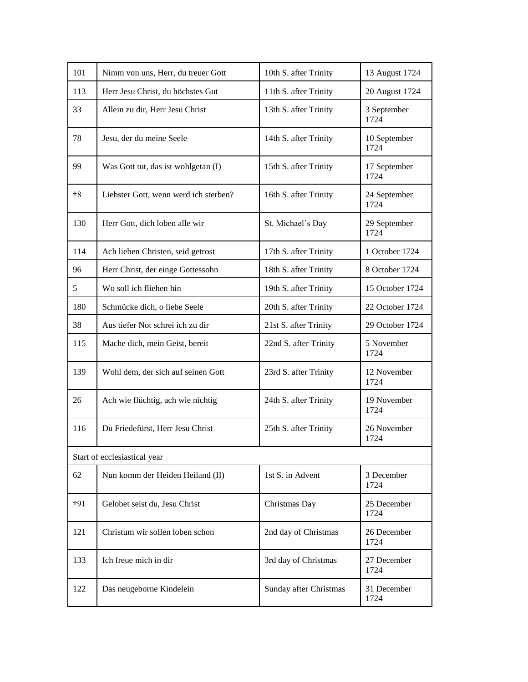| 101          | Nimm von uns, Herr, du treuer Gott    | 10th S. after Trinity  | 13 August 1724       |
|--------------|---------------------------------------|------------------------|----------------------|
| 113          | Herr Jesu Christ, du höchstes Gut     | 11th S. after Trinity  | 20 August 1724       |
| 33           | Allein zu dir, Herr Jesu Christ       | 13th S. after Trinity  | 3 September<br>1724  |
| 78           | Jesu, der du meine Seele              | 14th S. after Trinity  | 10 September<br>1724 |
| 99           | Was Gott tut, das ist wohlgetan (I)   | 15th S. after Trinity  | 17 September<br>1724 |
| $+8$         | Liebster Gott, wenn werd ich sterben? | 16th S. after Trinity  | 24 September<br>1724 |
| 130          | Herr Gott, dich loben alle wir        | St. Michael's Day      | 29 September<br>1724 |
| 114          | Ach lieben Christen, seid getrost     | 17th S. after Trinity  | 1 October 1724       |
| 96           | Herr Christ, der einge Gottessohn     | 18th S. after Trinity  | 8 October 1724       |
| 5            | Wo soll ich fliehen hin               | 19th S. after Trinity  | 15 October 1724      |
| 180          | Schmücke dich, o liebe Seele          | 20th S. after Trinity  | 22 October 1724      |
| 38           | Aus tiefer Not schrei ich zu dir      | 21st S. after Trinity  | 29 October 1724      |
| 115          | Mache dich, mein Geist, bereit        | 22nd S. after Trinity  | 5 November<br>1724   |
| 139          | Wohl dem, der sich auf seinen Gott    | 23rd S. after Trinity  | 12 November<br>1724  |
| 26           | Ach wie flüchtig, ach wie nichtig     | 24th S. after Trinity  | 19 November<br>1724  |
| 116          | Du Friedefürst, Herr Jesu Christ      | 25th S. after Trinity  | 26 November<br>1724  |
|              | Start of ecclesiastical year          |                        |                      |
| 62           | Nun komm der Heiden Heiland (II)      | 1st S. in Advent       | 3 December<br>1724   |
| $\dagger$ 91 | Gelobet seist du, Jesu Christ         | Christmas Day          | 25 December<br>1724  |
| 121          | Christum wir sollen loben schon       | 2nd day of Christmas   | 26 December<br>1724  |
| 133          | Ich freue mich in dir                 | 3rd day of Christmas   | 27 December<br>1724  |
| 122          | Das neugeborne Kindelein              | Sunday after Christmas | 31 December<br>1724  |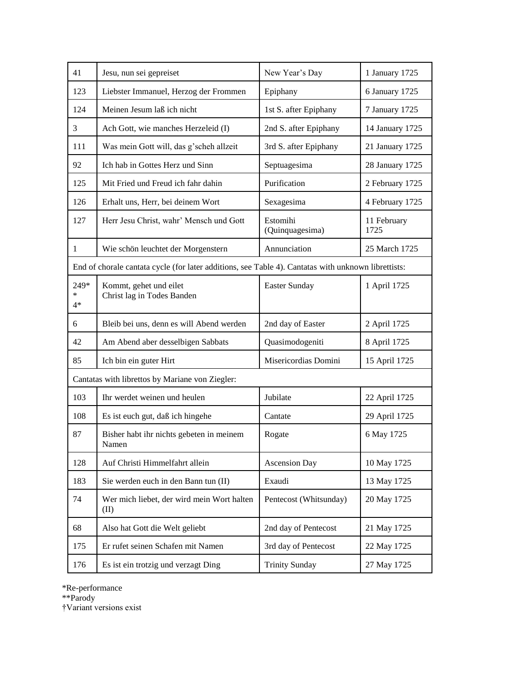| 41              | Jesu, nun sei gepreiset                                                                             | New Year's Day              | 1 January 1725      |
|-----------------|-----------------------------------------------------------------------------------------------------|-----------------------------|---------------------|
| 123             | Liebster Immanuel, Herzog der Frommen                                                               | Epiphany                    | 6 January 1725      |
| 124             | Meinen Jesum laß ich nicht                                                                          | 1st S. after Epiphany       | 7 January 1725      |
| 3               | Ach Gott, wie manches Herzeleid (I)                                                                 | 2nd S. after Epiphany       | 14 January 1725     |
| 111             | Was mein Gott will, das g'scheh allzeit                                                             | 3rd S. after Epiphany       | 21 January 1725     |
| 92              | Ich hab in Gottes Herz und Sinn                                                                     | Septuagesima                | 28 January 1725     |
| 125             | Mit Fried und Freud ich fahr dahin                                                                  | Purification                | 2 February 1725     |
| 126             | Erhalt uns, Herr, bei deinem Wort                                                                   | Sexagesima                  | 4 February 1725     |
| 127             | Herr Jesu Christ, wahr' Mensch und Gott                                                             | Estomihi<br>(Quinquagesima) | 11 February<br>1725 |
| $\mathbf{1}$    | Wie schön leuchtet der Morgenstern                                                                  | Annunciation                | 25 March 1725       |
|                 | End of chorale cantata cycle (for later additions, see Table 4). Cantatas with unknown librettists: |                             |                     |
| 249*<br>∗<br>4* | Kommt, gehet und eilet<br>Christ lag in Todes Banden                                                | Easter Sunday               | 1 April 1725        |
| 6               | Bleib bei uns, denn es will Abend werden                                                            | 2nd day of Easter           | 2 April 1725        |
| 42              | Am Abend aber desselbigen Sabbats                                                                   | Quasimodogeniti             | 8 April 1725        |
| 85              | Ich bin ein guter Hirt                                                                              | Misericordias Domini        | 15 April 1725       |
|                 | Cantatas with librettos by Mariane von Ziegler:                                                     |                             |                     |
| 103             | Ihr werdet weinen und heulen                                                                        | Jubilate                    | 22 April 1725       |
| 108             | Es ist euch gut, daß ich hingehe                                                                    | Cantate                     | 29 April 1725       |
| 87              | Bisher habt ihr nichts gebeten in meinem<br>Namen                                                   | Rogate                      | 6 May 1725          |
| 128             | Auf Christi Himmelfahrt allein                                                                      | <b>Ascension Day</b>        | 10 May 1725         |
| 183             | Sie werden euch in den Bann tun (II)                                                                | Exaudi                      | 13 May 1725         |
| 74              | Wer mich liebet, der wird mein Wort halten<br>(II)                                                  | Pentecost (Whitsunday)      | 20 May 1725         |
| 68              | Also hat Gott die Welt geliebt                                                                      | 2nd day of Pentecost        | 21 May 1725         |
| 175             | Er rufet seinen Schafen mit Namen                                                                   | 3rd day of Pentecost        | 22 May 1725         |
| 176             | Es ist ein trotzig und verzagt Ding                                                                 | <b>Trinity Sunday</b>       | 27 May 1725         |

\*Re-performance

\*\*Parody

†Variant versions exist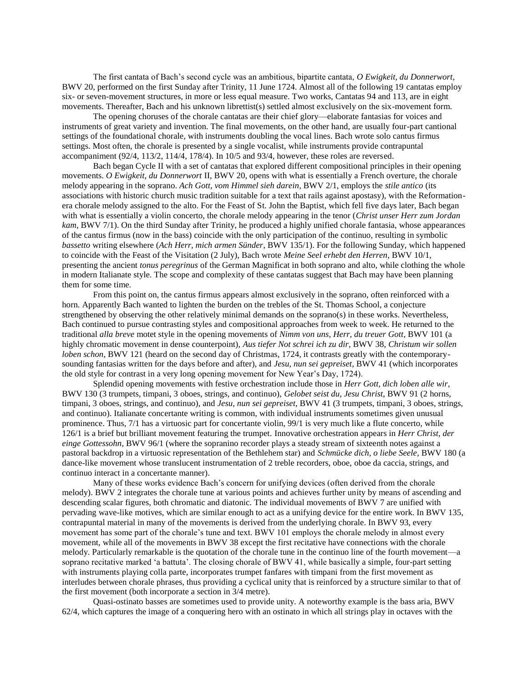The first cantata of Bach's second cycle was an ambitious, bipartite cantata, *O Ewigkeit, du Donnerwort*, BWV 20, performed on the first Sunday after Trinity, 11 June 1724. Almost all of the following 19 cantatas employ six- or seven-movement structures, in more or less equal measure. Two works, Cantatas 94 and 113, are in eight movements. Thereafter, Bach and his unknown librettist(s) settled almost exclusively on the six-movement form.

The opening choruses of the chorale cantatas are their chief glory—elaborate fantasias for voices and instruments of great variety and invention. The final movements, on the other hand, are usually four-part cantional settings of the foundational chorale, with instruments doubling the vocal lines. Bach wrote solo cantus firmus settings. Most often, the chorale is presented by a single vocalist, while instruments provide contrapuntal accompaniment (92/4, 113/2, 114/4, 178/4). In 10/5 and 93/4, however, these roles are reversed.

Bach began Cycle II with a set of cantatas that explored different compositional principles in their opening movements. *O Ewigkeit, du Donnerwort* II, BWV 20, opens with what is essentially a French overture, the chorale melody appearing in the soprano. *Ach Gott, vom Himmel sieh darein*, BWV 2/1, employs the *stile antico* (its associations with historic church music tradition suitable for a text that rails against apostasy), with the Reformationera chorale melody assigned to the alto. For the Feast of St. John the Baptist, which fell five days later, Bach began with what is essentially a violin concerto, the chorale melody appearing in the tenor (*Christ unser Herr zum Jordan kam*, BWV 7/1). On the third Sunday after Trinity, he produced a highly unified chorale fantasia, whose appearances of the cantus firmus (now in the bass) coincide with the only participation of the continuo, resulting in symbolic *bassetto* writing elsewhere (*Ach Herr, mich armen Sünder*, BWV 135/1). For the following Sunday, which happened to coincide with the Feast of the Visitation (2 July), Bach wrote *Meine Seel erhebt den Herren*, BWV 10/1, presenting the ancient *tonus peregrinus* of the German Magnificat in both soprano and alto, while clothing the whole in modern Italianate style. The scope and complexity of these cantatas suggest that Bach may have been planning them for some time.

From this point on, the cantus firmus appears almost exclusively in the soprano, often reinforced with a horn. Apparently Bach wanted to lighten the burden on the trebles of the St. Thomas School, a conjecture strengthened by observing the other relatively minimal demands on the soprano(s) in these works. Nevertheless, Bach continued to pursue contrasting styles and compositional approaches from week to week. He returned to the traditional *alla breve* motet style in the opening movements of *Nimm von uns, Herr, du treuer Gott*, BWV 101 (a highly chromatic movement in dense counterpoint), *Aus tiefer Not schrei ich zu dir*, BWV 38, *Christum wir sollen loben schon*, BWV 121 (heard on the second day of Christmas, 1724, it contrasts greatly with the contemporarysounding fantasias written for the days before and after), and *Jesu, nun sei gepreiset*, BWV 41 (which incorporates the old style for contrast in a very long opening movement for New Year's Day, 1724).

Splendid opening movements with festive orchestration include those in *Herr Gott, dich loben alle wir*, BWV 130 (3 trumpets, timpani, 3 oboes, strings, and continuo), *Gelobet seist du, Jesu Christ*, BWV 91 (2 horns, timpani, 3 oboes, strings, and continuo), and *Jesu, nun sei gepreiset*, BWV 41 (3 trumpets, timpani, 3 oboes, strings, and continuo). Italianate concertante writing is common, with individual instruments sometimes given unusual prominence. Thus, 7/1 has a virtuosic part for concertante violin, 99/1 is very much like a flute concerto, while 126/1 is a brief but brilliant movement featuring the trumpet. Innovative orchestration appears in *Herr Christ, der einge Gottessohn*, BWV 96/1 (where the sopranino recorder plays a steady stream of sixteenth notes against a pastoral backdrop in a virtuosic representation of the Bethlehem star) and *Schmücke dich, o liebe Seele*, BWV 180 (a dance-like movement whose translucent instrumentation of 2 treble recorders, oboe, oboe da caccia, strings, and continuo interact in a concertante manner).

Many of these works evidence Bach's concern for unifying devices (often derived from the chorale melody). BWV 2 integrates the chorale tune at various points and achieves further unity by means of ascending and descending scalar figures, both chromatic and diatonic. The individual movements of BWV 7 are unified with pervading wave-like motives, which are similar enough to act as a unifying device for the entire work. In BWV 135, contrapuntal material in many of the movements is derived from the underlying chorale. In BWV 93, every movement has some part of the chorale's tune and text. BWV 101 employs the chorale melody in almost every movement, while all of the movements in BWV 38 except the first recitative have connections with the chorale melody. Particularly remarkable is the quotation of the chorale tune in the continuo line of the fourth movement—a soprano recitative marked 'a battuta'. The closing chorale of BWV 41, while basically a simple, four-part setting with instruments playing colla parte, incorporates trumpet fanfares with timpani from the first movement as interludes between chorale phrases, thus providing a cyclical unity that is reinforced by a structure similar to that of the first movement (both incorporate a section in 3/4 metre).

Quasi-ostinato basses are sometimes used to provide unity. A noteworthy example is the bass aria, BWV 62/4, which captures the image of a conquering hero with an ostinato in which all strings play in octaves with the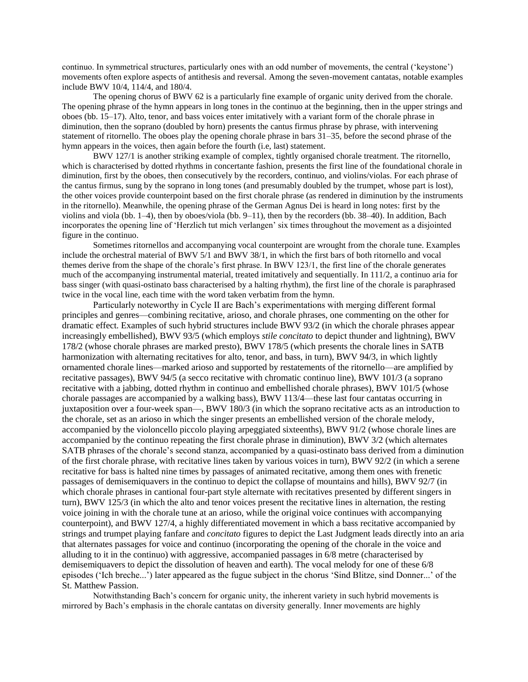continuo. In symmetrical structures, particularly ones with an odd number of movements, the central ('keystone') movements often explore aspects of antithesis and reversal. Among the seven-movement cantatas, notable examples include BWV 10/4, 114/4, and 180/4.

The opening chorus of BWV 62 is a particularly fine example of organic unity derived from the chorale. The opening phrase of the hymn appears in long tones in the continuo at the beginning, then in the upper strings and oboes (bb. 15–17). Alto, tenor, and bass voices enter imitatively with a variant form of the chorale phrase in diminution, then the soprano (doubled by horn) presents the cantus firmus phrase by phrase, with intervening statement of ritornello. The oboes play the opening chorale phrase in bars 31–35, before the second phrase of the hymn appears in the voices, then again before the fourth (i.e, last) statement.

BWV 127/1 is another striking example of complex, tightly organised chorale treatment. The ritornello, which is characterised by dotted rhythms in concertante fashion, presents the first line of the foundational chorale in diminution, first by the oboes, then consecutively by the recorders, continuo, and violins/violas. For each phrase of the cantus firmus, sung by the soprano in long tones (and presumably doubled by the trumpet, whose part is lost), the other voices provide counterpoint based on the first chorale phrase (as rendered in diminution by the instruments in the ritornello). Meanwhile, the opening phrase of the German Agnus Dei is heard in long notes: first by the violins and viola (bb. 1–4), then by oboes/viola (bb. 9–11), then by the recorders (bb. 38–40). In addition, Bach incorporates the opening line of 'Herzlich tut mich verlangen' six times throughout the movement as a disjointed figure in the continuo.

Sometimes ritornellos and accompanying vocal counterpoint are wrought from the chorale tune. Examples include the orchestral material of BWV 5/1 and BWV 38/1, in which the first bars of both ritornello and vocal themes derive from the shape of the chorale's first phrase. In BWV 123/1, the first line of the chorale generates much of the accompanying instrumental material, treated imitatively and sequentially. In 111/2, a continuo aria for bass singer (with quasi-ostinato bass characterised by a halting rhythm), the first line of the chorale is paraphrased twice in the vocal line, each time with the word taken verbatim from the hymn.

Particularly noteworthy in Cycle II are Bach's experimentations with merging different formal principles and genres—combining recitative, arioso, and chorale phrases, one commenting on the other for dramatic effect. Examples of such hybrid structures include BWV 93/2 (in which the chorale phrases appear increasingly embellished), BWV 93/5 (which employs *stile concitato* to depict thunder and lightning), BWV 178/2 (whose chorale phrases are marked presto), BWV 178/5 (which presents the chorale lines in SATB harmonization with alternating recitatives for alto, tenor, and bass, in turn), BWV 94/3, in which lightly ornamented chorale lines—marked arioso and supported by restatements of the ritornello—are amplified by recitative passages), BWV 94/5 (a secco recitative with chromatic continuo line), BWV 101/3 (a soprano recitative with a jabbing, dotted rhythm in continuo and embellished chorale phrases), BWV 101/5 (whose chorale passages are accompanied by a walking bass), BWV 113/4—these last four cantatas occurring in juxtaposition over a four-week span—, BWV 180/3 (in which the soprano recitative acts as an introduction to the chorale, set as an arioso in which the singer presents an embellished version of the chorale melody, accompanied by the violoncello piccolo playing arpeggiated sixteenths), BWV 91/2 (whose chorale lines are accompanied by the continuo repeating the first chorale phrase in diminution), BWV 3/2 (which alternates SATB phrases of the chorale's second stanza, accompanied by a quasi-ostinato bass derived from a diminution of the first chorale phrase, with recitative lines taken by various voices in turn), BWV 92/2 (in which a serene recitative for bass is halted nine times by passages of animated recitative, among them ones with frenetic passages of demisemiquavers in the continuo to depict the collapse of mountains and hills), BWV 92/7 (in which chorale phrases in cantional four-part style alternate with recitatives presented by different singers in turn), BWV 125/3 (in which the alto and tenor voices present the recitative lines in alternation, the resting voice joining in with the chorale tune at an arioso, while the original voice continues with accompanying counterpoint), and BWV 127/4, a highly differentiated movement in which a bass recitative accompanied by strings and trumpet playing fanfare and *concitato* figures to depict the Last Judgment leads directly into an aria that alternates passages for voice and continuo (incorporating the opening of the chorale in the voice and alluding to it in the continuo) with aggressive, accompanied passages in 6/8 metre (characterised by demisemiquavers to depict the dissolution of heaven and earth). The vocal melody for one of these 6/8 episodes ('Ich breche...') later appeared as the fugue subject in the chorus 'Sind Blitze, sind Donner...' of the St. Matthew Passion.

Notwithstanding Bach's concern for organic unity, the inherent variety in such hybrid movements is mirrored by Bach's emphasis in the chorale cantatas on diversity generally. Inner movements are highly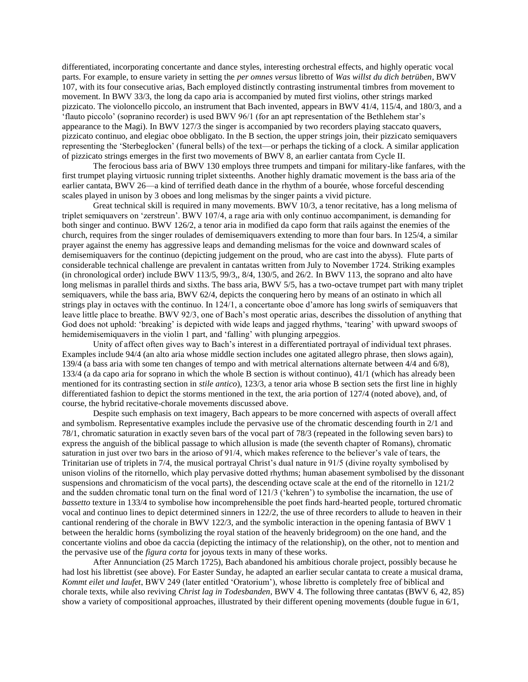differentiated, incorporating concertante and dance styles, interesting orchestral effects, and highly operatic vocal parts. For example, to ensure variety in setting the *per omnes versus* libretto of *Was willst du dich betrüben*, BWV 107, with its four consecutive arias, Bach employed distinctly contrasting instrumental timbres from movement to movement. In BWV 33/3, the long da capo aria is accompanied by muted first violins, other strings marked pizzicato. The violoncello piccolo, an instrument that Bach invented, appears in BWV 41/4, 115/4, and 180/3, and a 'flauto piccolo' (sopranino recorder) is used BWV 96/1 (for an apt representation of the Bethlehem star's appearance to the Magi). In BWV 127/3 the singer is accompanied by two recorders playing staccato quavers, pizzicato continuo, and elegiac oboe obbligato. In the B section, the upper strings join, their pizzicato semiquavers representing the 'Sterbeglocken' (funeral bells) of the text—or perhaps the ticking of a clock. A similar application of pizzicato strings emerges in the first two movements of BWV 8, an earlier cantata from Cycle II.

The ferocious bass aria of BWV 130 employs three trumpets and timpani for military-like fanfares, with the first trumpet playing virtuosic running triplet sixteenths. Another highly dramatic movement is the bass aria of the earlier cantata, BWV 26—a kind of terrified death dance in the rhythm of a bourée, whose forceful descending scales played in unison by 3 oboes and long melismas by the singer paints a vivid picture.

Great technical skill is required in many movements. BWV 10/3, a tenor recitative, has a long melisma of triplet semiquavers on 'zerstreun'. BWV 107/4, a rage aria with only continuo accompaniment, is demanding for both singer and continuo. BWV 126/2, a tenor aria in modified da capo form that rails against the enemies of the church, requires from the singer roulades of demisemiquavers extending to more than four bars. In 125/4, a similar prayer against the enemy has aggressive leaps and demanding melismas for the voice and downward scales of demisemiquavers for the continuo (depicting judgement on the proud, who are cast into the abyss). Flute parts of considerable technical challenge are prevalent in cantatas written from July to November 1724. Striking examples (in chronological order) include BWV 113/5, 99/3,, 8/4, 130/5, and 26/2. In BWV 113, the soprano and alto have long melismas in parallel thirds and sixths. The bass aria, BWV 5/5, has a two-octave trumpet part with many triplet semiquavers, while the bass aria, BWV 62/4, depicts the conquering hero by means of an ostinato in which all strings play in octaves with the continuo. In 124/1, a concertante oboe d'amore has long swirls of semiquavers that leave little place to breathe. BWV 92/3, one of Bach's most operatic arias, describes the dissolution of anything that God does not uphold: 'breaking' is depicted with wide leaps and jagged rhythms, 'tearing' with upward swoops of hemidemisemiquavers in the violin 1 part, and 'falling' with plunging arpeggios.

Unity of affect often gives way to Bach's interest in a differentiated portrayal of individual text phrases. Examples include 94/4 (an alto aria whose middle section includes one agitated allegro phrase, then slows again), 139/4 (a bass aria with some ten changes of tempo and with metrical alternations alternate between 4/4 and 6/8), 133/4 (a da capo aria for soprano in which the whole B section is without continuo), 41/1 (which has already been mentioned for its contrasting section in *stile antico*), 123/3, a tenor aria whose B section sets the first line in highly differentiated fashion to depict the storms mentioned in the text, the aria portion of 127/4 (noted above), and, of course, the hybrid recitative-chorale movements discussed above.

Despite such emphasis on text imagery, Bach appears to be more concerned with aspects of overall affect and symbolism. Representative examples include the pervasive use of the chromatic descending fourth in 2/1 and 78/1, chromatic saturation in exactly seven bars of the vocal part of 78/3 (repeated in the following seven bars) to express the anguish of the biblical passage to which allusion is made (the seventh chapter of Romans), chromatic saturation in just over two bars in the arioso of 91/4, which makes reference to the believer's vale of tears, the Trinitarian use of triplets in 7/4, the musical portrayal Christ's dual nature in 91/5 (divine royalty symbolised by unison violins of the ritornello, which play pervasive dotted rhythms; human abasement symbolised by the dissonant suspensions and chromaticism of the vocal parts), the descending octave scale at the end of the ritornello in 121/2 and the sudden chromatic tonal turn on the final word of 121/3 ('kehren') to symbolise the incarnation, the use of *bassetto* texture in 133/4 to symbolise how incomprehensible the poet finds hard-hearted people, tortured chromatic vocal and continuo lines to depict determined sinners in 122/2, the use of three recorders to allude to heaven in their cantional rendering of the chorale in BWV 122/3, and the symbolic interaction in the opening fantasia of BWV 1 between the heraldic horns (symbolizing the royal station of the heavenly bridegroom) on the one hand, and the concertante violins and oboe da caccia (depicting the intimacy of the relationship), on the other, not to mention and the pervasive use of the *figura corta* for joyous texts in many of these works.

After Annunciation (25 March 1725), Bach abandoned his ambitious chorale project, possibly because he had lost his librettist (see above). For Easter Sunday, he adapted an earlier secular cantata to create a musical drama, *Kommt eilet und laufet*, BWV 249 (later entitled 'Oratorium'), whose libretto is completely free of biblical and chorale texts, while also reviving *Christ lag in Todesbanden*, BWV 4. The following three cantatas (BWV 6, 42, 85) show a variety of compositional approaches, illustrated by their different opening movements (double fugue in 6/1,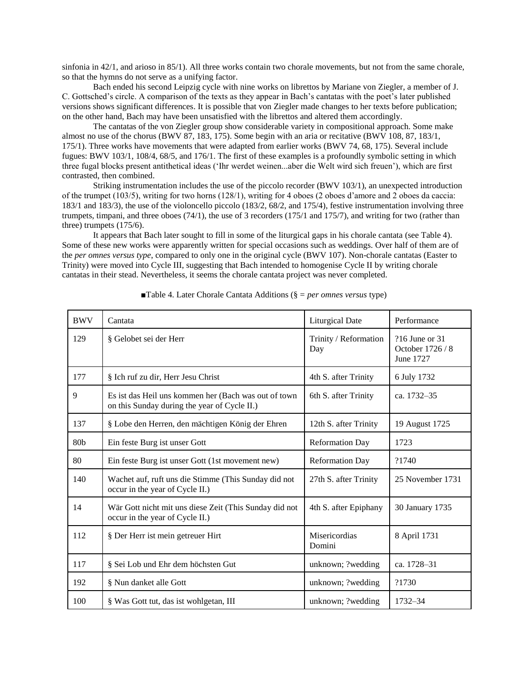sinfonia in 42/1, and arioso in 85/1). All three works contain two chorale movements, but not from the same chorale, so that the hymns do not serve as a unifying factor.

Bach ended his second Leipzig cycle with nine works on librettos by Mariane von Ziegler, a member of J. C. Gottsched's circle. A comparison of the texts as they appear in Bach's cantatas with the poet's later published versions shows significant differences. It is possible that von Ziegler made changes to her texts before publication; on the other hand, Bach may have been unsatisfied with the librettos and altered them accordingly.

The cantatas of the von Ziegler group show considerable variety in compositional approach. Some make almost no use of the chorus (BWV 87, 183, 175). Some begin with an aria or recitative (BWV 108, 87, 183/1, 175/1). Three works have movements that were adapted from earlier works (BWV 74, 68, 175). Several include fugues: BWV 103/1, 108/4, 68/5, and 176/1. The first of these examples is a profoundly symbolic setting in which three fugal blocks present antithetical ideas ('Ihr werdet weinen...aber die Welt wird sich freuen'), which are first contrasted, then combined.

Striking instrumentation includes the use of the piccolo recorder (BWV 103/1), an unexpected introduction of the trumpet (103/5), writing for two horns (128/1), writing for 4 oboes (2 oboes d'amore and 2 oboes da caccia: 183/1 and 183/3), the use of the violoncello piccolo (183/2, 68/2, and 175/4), festive instrumentation involving three trumpets, timpani, and three oboes (74/1), the use of 3 recorders (175/1 and 175/7), and writing for two (rather than three) trumpets (175/6).

It appears that Bach later sought to fill in some of the liturgical gaps in his chorale cantata (see Table 4). Some of these new works were apparently written for special occasions such as weddings. Over half of them are of the *per omnes versus type*, compared to only one in the original cycle (BWV 107). Non-chorale cantatas (Easter to Trinity) were moved into Cycle III, suggesting that Bach intended to homogenise Cycle II by writing chorale cantatas in their stead. Nevertheless, it seems the chorale cantata project was never completed.

| <b>BWV</b> | Cantata                                                                                              | <b>Liturgical Date</b>       | Performance                                     |
|------------|------------------------------------------------------------------------------------------------------|------------------------------|-------------------------------------------------|
| 129        | § Gelobet sei der Herr                                                                               | Trinity / Reformation<br>Day | ?16 June or 31<br>October 1726 / 8<br>June 1727 |
| 177        | § Ich ruf zu dir, Herr Jesu Christ                                                                   | 4th S. after Trinity         | 6 July 1732                                     |
| 9          | Es ist das Heil uns kommen her (Bach was out of town<br>on this Sunday during the year of Cycle II.) | 6th S. after Trinity         | ca. 1732-35                                     |
| 137        | § Lobe den Herren, den mächtigen König der Ehren                                                     | 12th S. after Trinity        | 19 August 1725                                  |
| 80b        | Ein feste Burg ist unser Gott                                                                        | <b>Reformation Day</b>       | 1723                                            |
| 80         | Ein feste Burg ist unser Gott (1st movement new)                                                     | <b>Reformation Day</b>       | ?1740                                           |
| 140        | Wachet auf, ruft uns die Stimme (This Sunday did not<br>occur in the year of Cycle II.)              | 27th S. after Trinity        | 25 November 1731                                |
| 14         | Wär Gott nicht mit uns diese Zeit (This Sunday did not<br>occur in the year of Cycle II.)            | 4th S. after Epiphany        | 30 January 1735                                 |
| 112        | § Der Herr ist mein getreuer Hirt                                                                    | Misericordias<br>Domini      | 8 April 1731                                    |
| 117        | § Sei Lob und Ehr dem höchsten Gut                                                                   | unknown; ?wedding            | ca. 1728-31                                     |
| 192        | § Nun danket alle Gott                                                                               | unknown; ?wedding            | ?1730                                           |
| 100        | § Was Gott tut, das ist wohlgetan, III                                                               | unknown; ?wedding            | 1732-34                                         |

■Table 4. Later Chorale Cantata Additions (§ = *per omnes versus* type)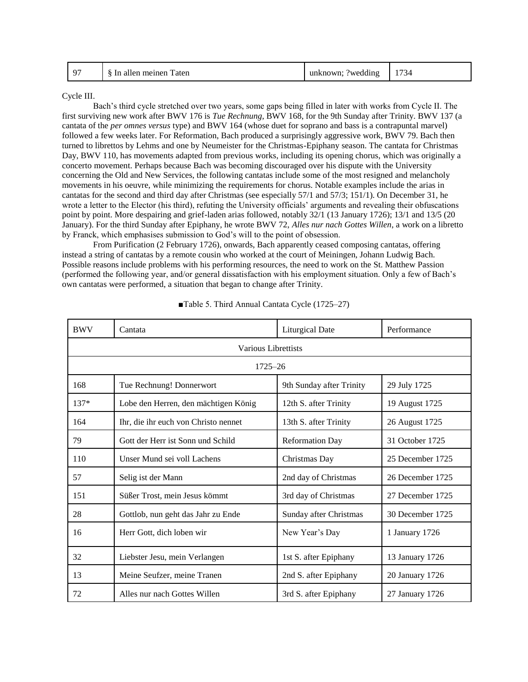| $\Omega$<br>Taten<br>meinen<br>-In<br>allen | unknown.<br>wedding? | $  -$<br>-14 |
|---------------------------------------------|----------------------|--------------|
|---------------------------------------------|----------------------|--------------|

Cycle III.

Bach's third cycle stretched over two years, some gaps being filled in later with works from Cycle II. The first surviving new work after BWV 176 is *Tue Rechnung*, BWV 168, for the 9th Sunday after Trinity. BWV 137 (a cantata of the *per omnes versus* type) and BWV 164 (whose duet for soprano and bass is a contrapuntal marvel) followed a few weeks later. For Reformation, Bach produced a surprisingly aggressive work, BWV 79. Bach then turned to librettos by Lehms and one by Neumeister for the Christmas-Epiphany season. The cantata for Christmas Day, BWV 110, has movements adapted from previous works, including its opening chorus, which was originally a concerto movement. Perhaps because Bach was becoming discouraged over his dispute with the University concerning the Old and New Services, the following cantatas include some of the most resigned and melancholy movements in his oeuvre, while minimizing the requirements for chorus. Notable examples include the arias in cantatas for the second and third day after Christmas (see especially 57/1 and 57/3; 151/1). On December 31, he wrote a letter to the Elector (his third), refuting the University officials' arguments and revealing their obfuscations point by point. More despairing and grief-laden arias followed, notably 32/1 (13 January 1726); 13/1 and 13/5 (20 January). For the third Sunday after Epiphany, he wrote BWV 72, *Alles nur nach Gottes Willen*, a work on a libretto by Franck, which emphasises submission to God's will to the point of obsession.

From Purification (2 February 1726), onwards, Bach apparently ceased composing cantatas, offering instead a string of cantatas by a remote cousin who worked at the court of Meiningen, Johann Ludwig Bach. Possible reasons include problems with his performing resources, the need to work on the St. Matthew Passion (performed the following year, and/or general dissatisfaction with his employment situation. Only a few of Bach's own cantatas were performed, a situation that began to change after Trinity.

| <b>BWV</b> | Cantata                              | <b>Liturgical Date</b>   | Performance      |  |
|------------|--------------------------------------|--------------------------|------------------|--|
|            | Various Librettists                  |                          |                  |  |
|            | $1725 - 26$                          |                          |                  |  |
| 168        | Tue Rechnung! Donnerwort             | 9th Sunday after Trinity | 29 July 1725     |  |
| 137*       | Lobe den Herren, den mächtigen König | 12th S. after Trinity    | 19 August 1725   |  |
| 164        | Ihr, die ihr euch von Christo nennet | 13th S. after Trinity    | 26 August 1725   |  |
| 79         | Gott der Herr ist Sonn und Schild    | <b>Reformation Day</b>   | 31 October 1725  |  |
| 110        | Unser Mund sei voll Lachens          | Christmas Day            | 25 December 1725 |  |
| 57         | Selig ist der Mann                   | 2nd day of Christmas     | 26 December 1725 |  |
| 151        | Süßer Trost, mein Jesus kömmt        | 3rd day of Christmas     | 27 December 1725 |  |
| 28         | Gottlob, nun geht das Jahr zu Ende   | Sunday after Christmas   | 30 December 1725 |  |
| 16         | Herr Gott, dich loben wir            | New Year's Day           | 1 January 1726   |  |
| 32         | Liebster Jesu, mein Verlangen        | 1st S. after Epiphany    | 13 January 1726  |  |
| 13         | Meine Seufzer, meine Tranen          | 2nd S. after Epiphany    | 20 January 1726  |  |
| 72         | Alles nur nach Gottes Willen         | 3rd S. after Epiphany    | 27 January 1726  |  |

■Table 5. Third Annual Cantata Cycle (1725–27)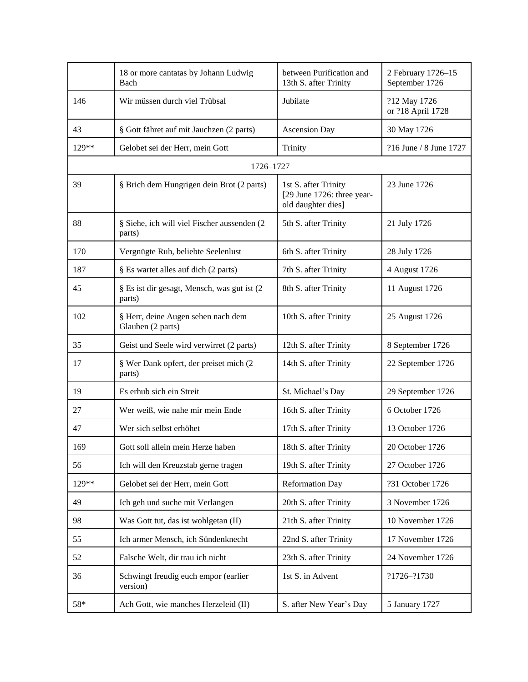|       | 18 or more cantatas by Johann Ludwig<br>Bach            | between Purification and<br>13th S. after Trinity                        | 2 February 1726-15<br>September 1726 |
|-------|---------------------------------------------------------|--------------------------------------------------------------------------|--------------------------------------|
| 146   | Wir müssen durch viel Trübsal                           | Jubilate                                                                 | ?12 May 1726<br>or ?18 April 1728    |
| 43    | § Gott fähret auf mit Jauchzen (2 parts)                | <b>Ascension Day</b>                                                     | 30 May 1726                          |
| 129** | Gelobet sei der Herr, mein Gott                         | Trinity                                                                  | ?16 June / 8 June 1727               |
|       | 1726-1727                                               |                                                                          |                                      |
| 39    | § Brich dem Hungrigen dein Brot (2 parts)               | 1st S. after Trinity<br>[29 June 1726: three year-<br>old daughter dies] | 23 June 1726                         |
| 88    | § Siehe, ich will viel Fischer aussenden (2<br>parts)   | 5th S. after Trinity                                                     | 21 July 1726                         |
| 170   | Vergnügte Ruh, beliebte Seelenlust                      | 6th S. after Trinity                                                     | 28 July 1726                         |
| 187   | § Es wartet alles auf dich (2 parts)                    | 7th S. after Trinity                                                     | 4 August 1726                        |
| 45    | § Es ist dir gesagt, Mensch, was gut ist (2<br>parts)   | 8th S. after Trinity                                                     | 11 August 1726                       |
| 102   | § Herr, deine Augen sehen nach dem<br>Glauben (2 parts) | 10th S. after Trinity                                                    | 25 August 1726                       |
| 35    | Geist und Seele wird verwirret (2 parts)                | 12th S. after Trinity                                                    | 8 September 1726                     |
| 17    | § Wer Dank opfert, der preiset mich (2<br>parts)        | 14th S. after Trinity                                                    | 22 September 1726                    |
| 19    | Es erhub sich ein Streit                                | St. Michael's Day                                                        | 29 September 1726                    |
| 27    | Wer weiß, wie nahe mir mein Ende                        | 16th S. after Trinity                                                    | 6 October 1726                       |
| 47    | Wer sich selbst erhöhet                                 | 17th S. after Trinity                                                    | 13 October 1726                      |
| 169   | Gott soll allein mein Herze haben                       | 18th S. after Trinity                                                    | 20 October 1726                      |
| 56    | Ich will den Kreuzstab gerne tragen                     | 19th S. after Trinity                                                    | 27 October 1726                      |
| 129** | Gelobet sei der Herr, mein Gott                         | <b>Reformation Day</b>                                                   | ?31 October 1726                     |
| 49    | Ich geh und suche mit Verlangen                         | 20th S. after Trinity                                                    | 3 November 1726                      |
| 98    | Was Gott tut, das ist wohlgetan (II)                    | 21th S. after Trinity                                                    | 10 November 1726                     |
| 55    | Ich armer Mensch, ich Sündenknecht                      | 22nd S. after Trinity                                                    | 17 November 1726                     |
| 52    | Falsche Welt, dir trau ich nicht                        | 23th S. after Trinity                                                    | 24 November 1726                     |
| 36    | Schwingt freudig euch empor (earlier<br>version)        | 1st S. in Advent                                                         | ?1726-?1730                          |
| $58*$ | Ach Gott, wie manches Herzeleid (II)                    | S. after New Year's Day                                                  | 5 January 1727                       |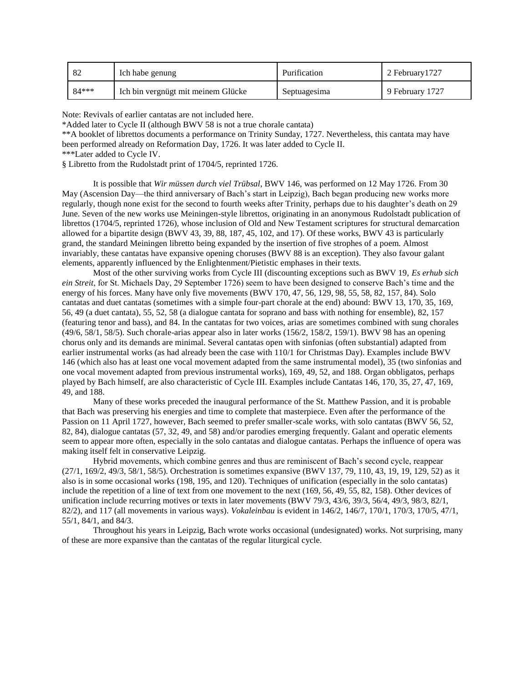|       | Ich habe genung                    | Purification | 2 February 1727 |
|-------|------------------------------------|--------------|-----------------|
| 84*** | Ich bin vergnügt mit meinem Glücke | Septuagesima | 9 February 1727 |

Note: Revivals of earlier cantatas are not included here.

\*Added later to Cycle II (although BWV 58 is not a true chorale cantata)

\*\*A booklet of librettos documents a performance on Trinity Sunday, 1727. Nevertheless, this cantata may have been performed already on Reformation Day, 1726. It was later added to Cycle II.

\*\*\*Later added to Cycle IV.

§ Libretto from the Rudolstadt print of 1704/5, reprinted 1726.

It is possible that *Wir müssen durch viel Trübsal*, BWV 146, was performed on 12 May 1726. From 30 May (Ascension Day—the third anniversary of Bach's start in Leipzig), Bach began producing new works more regularly, though none exist for the second to fourth weeks after Trinity, perhaps due to his daughter's death on 29 June. Seven of the new works use Meiningen-style librettos, originating in an anonymous Rudolstadt publication of librettos (1704/5, reprinted 1726), whose inclusion of Old and New Testament scriptures for structural demarcation allowed for a bipartite design (BWV 43, 39, 88, 187, 45, 102, and 17). Of these works, BWV 43 is particularly grand, the standard Meiningen libretto being expanded by the insertion of five strophes of a poem. Almost invariably, these cantatas have expansive opening choruses (BWV 88 is an exception). They also favour galant elements, apparently influenced by the Enlightenment/Pietistic emphases in their texts.

Most of the other surviving works from Cycle III (discounting exceptions such as BWV 19, *Es erhub sich ein Streit*, for St. Michaels Day, 29 September 1726) seem to have been designed to conserve Bach's time and the energy of his forces. Many have only five movements (BWV 170, 47, 56, 129, 98, 55, 58, 82, 157, 84). Solo cantatas and duet cantatas (sometimes with a simple four-part chorale at the end) abound: BWV 13, 170, 35, 169, 56, 49 (a duet cantata), 55, 52, 58 (a dialogue cantata for soprano and bass with nothing for ensemble), 82, 157 (featuring tenor and bass), and 84. In the cantatas for two voices, arias are sometimes combined with sung chorales (49/6, 58/1, 58/5). Such chorale-arias appear also in later works (156/2, 158/2, 159/1). BWV 98 has an opening chorus only and its demands are minimal. Several cantatas open with sinfonias (often substantial) adapted from earlier instrumental works (as had already been the case with 110/1 for Christmas Day). Examples include BWV 146 (which also has at least one vocal movement adapted from the same instrumental model), 35 (two sinfonias and one vocal movement adapted from previous instrumental works), 169, 49, 52, and 188. Organ obbligatos, perhaps played by Bach himself, are also characteristic of Cycle III. Examples include Cantatas 146, 170, 35, 27, 47, 169, 49, and 188.

Many of these works preceded the inaugural performance of the St. Matthew Passion, and it is probable that Bach was preserving his energies and time to complete that masterpiece. Even after the performance of the Passion on 11 April 1727, however, Bach seemed to prefer smaller-scale works, with solo cantatas (BWV 56, 52, 82, 84), dialogue cantatas (57, 32, 49, and 58) and/or parodies emerging frequently. Galant and operatic elements seem to appear more often, especially in the solo cantatas and dialogue cantatas. Perhaps the influence of opera was making itself felt in conservative Leipzig.

Hybrid movements, which combine genres and thus are reminiscent of Bach's second cycle, reappear (27/1, 169/2, 49/3, 58/1, 58/5). Orchestration is sometimes expansive (BWV 137, 79, 110, 43, 19, 19, 129, 52) as it also is in some occasional works (198, 195, and 120). Techniques of unification (especially in the solo cantatas) include the repetition of a line of text from one movement to the next (169, 56, 49, 55, 82, 158). Other devices of unification include recurring motives or texts in later movements (BWV 79/3, 43/6, 39/3, 56/4, 49/3, 98/3, 82/1, 82/2), and 117 (all movements in various ways). *Vokaleinbau* is evident in 146/2, 146/7, 170/1, 170/3, 170/5, 47/1, 55/1, 84/1, and 84/3.

Throughout his years in Leipzig, Bach wrote works occasional (undesignated) works. Not surprising, many of these are more expansive than the cantatas of the regular liturgical cycle.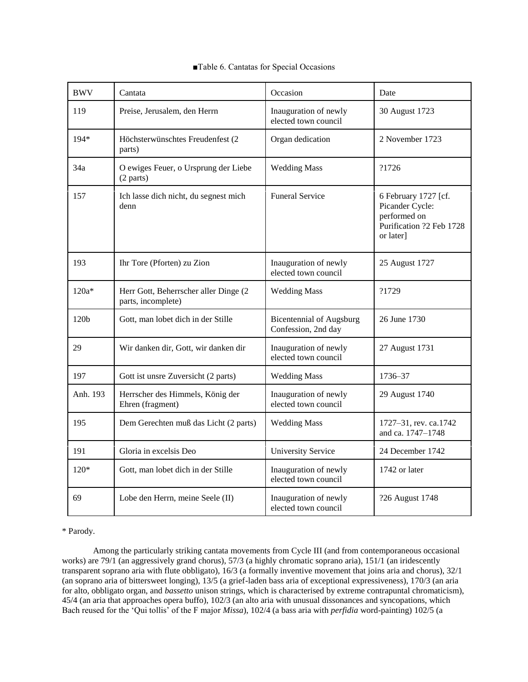| <b>BWV</b>       | Cantata                                                     | Occasion                                               | Date                                                                                             |
|------------------|-------------------------------------------------------------|--------------------------------------------------------|--------------------------------------------------------------------------------------------------|
| 119              | Preise, Jerusalem, den Herrn                                | Inauguration of newly<br>elected town council          | 30 August 1723                                                                                   |
| 194*             | Höchsterwünschtes Freudenfest (2<br>parts)                  | Organ dedication                                       | 2 November 1723                                                                                  |
| 34a              | O ewiges Feuer, o Ursprung der Liebe<br>(2 parts)           | <b>Wedding Mass</b>                                    | ?1726                                                                                            |
| 157              | Ich lasse dich nicht, du segnest mich<br>denn               | <b>Funeral Service</b>                                 | 6 February 1727 [cf.<br>Picander Cycle:<br>performed on<br>Purification ?2 Feb 1728<br>or later] |
| 193              | Ihr Tore (Pforten) zu Zion                                  | Inauguration of newly<br>elected town council          | 25 August 1727                                                                                   |
| $120a*$          | Herr Gott, Beherrscher aller Dinge (2<br>parts, incomplete) | <b>Wedding Mass</b>                                    | ?1729                                                                                            |
| 120 <sub>b</sub> | Gott, man lobet dich in der Stille                          | <b>Bicentennial of Augsburg</b><br>Confession, 2nd day | 26 June 1730                                                                                     |
| 29               | Wir danken dir, Gott, wir danken dir                        | Inauguration of newly<br>elected town council          | 27 August 1731                                                                                   |
| 197              | Gott ist unsre Zuversicht (2 parts)                         | <b>Wedding Mass</b>                                    | 1736–37                                                                                          |
| Anh. 193         | Herrscher des Himmels, König der<br>Ehren (fragment)        | Inauguration of newly<br>elected town council          | 29 August 1740                                                                                   |
| 195              | Dem Gerechten muß das Licht (2 parts)                       | <b>Wedding Mass</b>                                    | 1727-31, rev. ca.1742<br>and ca. 1747-1748                                                       |
| 191              | Gloria in excelsis Deo                                      | <b>University Service</b>                              | 24 December 1742                                                                                 |
| $120*$           | Gott, man lobet dich in der Stille                          | Inauguration of newly<br>elected town council          | 1742 or later                                                                                    |
| 69               | Lobe den Herrn, meine Seele (II)                            | Inauguration of newly<br>elected town council          | ?26 August 1748                                                                                  |

# ■Table 6. Cantatas for Special Occasions

\* Parody.

Among the particularly striking cantata movements from Cycle III (and from contemporaneous occasional works) are 79/1 (an aggressively grand chorus), 57/3 (a highly chromatic soprano aria), 151/1 (an iridescently transparent soprano aria with flute obbligato), 16/3 (a formally inventive movement that joins aria and chorus), 32/1 (an soprano aria of bittersweet longing), 13/5 (a grief-laden bass aria of exceptional expressiveness), 170/3 (an aria for alto, obbligato organ, and *bassetto* unison strings, which is characterised by extreme contrapuntal chromaticism), 45/4 (an aria that approaches opera buffo), 102/3 (an alto aria with unusual dissonances and syncopations, which Bach reused for the 'Qui tollis' of the F major *Missa*), 102/4 (a bass aria with *perfidia* word-painting) 102/5 (a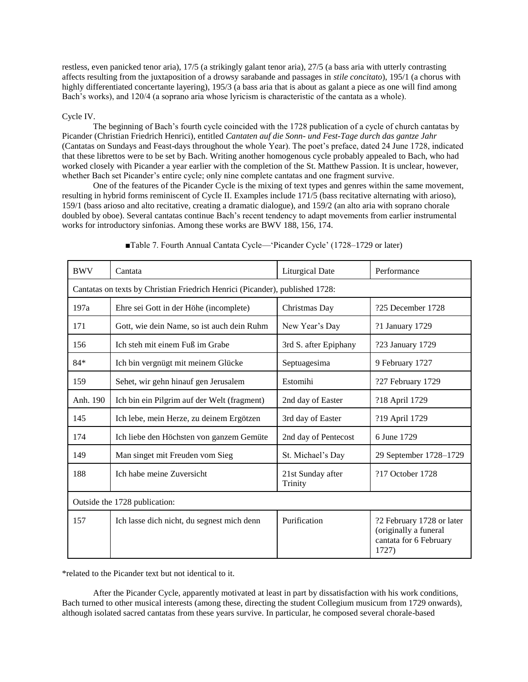restless, even panicked tenor aria), 17/5 (a strikingly galant tenor aria), 27/5 (a bass aria with utterly contrasting affects resulting from the juxtaposition of a drowsy sarabande and passages in *stile concitato*), 195/1 (a chorus with highly differentiated concertante layering), 195/3 (a bass aria that is about as galant a piece as one will find among Bach's works), and 120/4 (a soprano aria whose lyricism is characteristic of the cantata as a whole).

## Cycle IV.

The beginning of Bach's fourth cycle coincided with the 1728 publication of a cycle of church cantatas by Picander (Christian Friedrich Henrici), entitled *Cantaten auf die Sonn- und Fest-Tage durch das gantze Jahr* (Cantatas on Sundays and Feast-days throughout the whole Year). The poet's preface, dated 24 June 1728, indicated that these librettos were to be set by Bach. Writing another homogenous cycle probably appealed to Bach, who had worked closely with Picander a year earlier with the completion of the St. Matthew Passion. It is unclear, however, whether Bach set Picander's entire cycle; only nine complete cantatas and one fragment survive.

One of the features of the Picander Cycle is the mixing of text types and genres within the same movement, resulting in hybrid forms reminiscent of Cycle II. Examples include 171/5 (bass recitative alternating with arioso), 159/1 (bass arioso and alto recitative, creating a dramatic dialogue), and 159/2 (an alto aria with soprano chorale doubled by oboe). Several cantatas continue Bach's recent tendency to adapt movements from earlier instrumental works for introductory sinfonias. Among these works are BWV 188, 156, 174.

| <b>BWV</b>                                                                   | Cantata                                     | <b>Liturgical Date</b>       | Performance                                                                           |
|------------------------------------------------------------------------------|---------------------------------------------|------------------------------|---------------------------------------------------------------------------------------|
| Cantatas on texts by Christian Friedrich Henrici (Picander), published 1728: |                                             |                              |                                                                                       |
| 197a                                                                         | Ehre sei Gott in der Höhe (incomplete)      | Christmas Day                | ?25 December 1728                                                                     |
| 171                                                                          | Gott, wie dein Name, so ist auch dein Ruhm  | New Year's Day               | ?1 January 1729                                                                       |
| 156                                                                          | Ich steh mit einem Fuß im Grabe             | 3rd S. after Epiphany        | ?23 January 1729                                                                      |
| $84*$                                                                        | Ich bin vergnügt mit meinem Glücke          | Septuagesima                 | 9 February 1727                                                                       |
| 159                                                                          | Sehet, wir gehn hinauf gen Jerusalem        | Estomihi                     | ?27 February 1729                                                                     |
| Anh. 190                                                                     | Ich bin ein Pilgrim auf der Welt (fragment) | 2nd day of Easter            | ?18 April 1729                                                                        |
| 145                                                                          | Ich lebe, mein Herze, zu deinem Ergötzen    | 3rd day of Easter            | ?19 April 1729                                                                        |
| 174                                                                          | Ich liebe den Höchsten von ganzem Gemüte    | 2nd day of Pentecost         | 6 June 1729                                                                           |
| 149                                                                          | Man singet mit Freuden vom Sieg             | St. Michael's Day            | 29 September 1728-1729                                                                |
| 188                                                                          | Ich habe meine Zuversicht                   | 21st Sunday after<br>Trinity | ?17 October 1728                                                                      |
| Outside the 1728 publication:                                                |                                             |                              |                                                                                       |
| 157                                                                          | Ich lasse dich nicht, du segnest mich denn  | Purification                 | ?2 February 1728 or later<br>(originally a funeral<br>cantata for 6 February<br>1727) |

■Table 7. Fourth Annual Cantata Cycle—'Picander Cycle' (1728–1729 or later)

\*related to the Picander text but not identical to it.

After the Picander Cycle, apparently motivated at least in part by dissatisfaction with his work conditions, Bach turned to other musical interests (among these, directing the student Collegium musicum from 1729 onwards), although isolated sacred cantatas from these years survive. In particular, he composed several chorale-based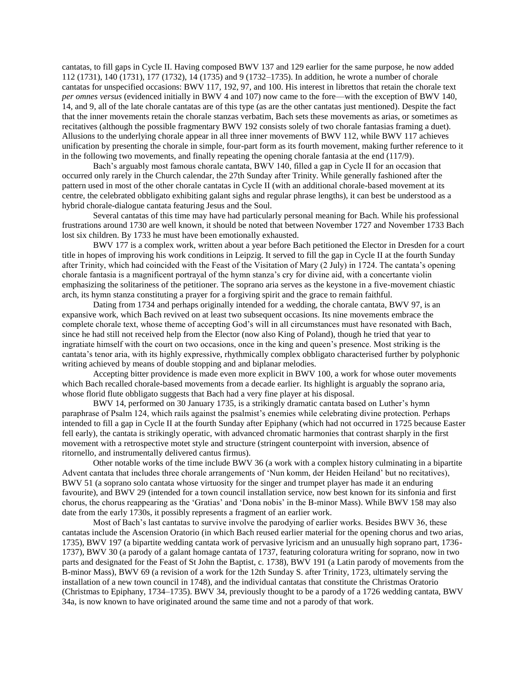cantatas, to fill gaps in Cycle II. Having composed BWV 137 and 129 earlier for the same purpose, he now added 112 (1731), 140 (1731), 177 (1732), 14 (1735) and 9 (1732–1735). In addition, he wrote a number of chorale cantatas for unspecified occasions: BWV 117, 192, 97, and 100. His interest in librettos that retain the chorale text *per omnes versus* (evidenced initially in BWV 4 and 107) now came to the fore—with the exception of BWV 140, 14, and 9, all of the late chorale cantatas are of this type (as are the other cantatas just mentioned). Despite the fact that the inner movements retain the chorale stanzas verbatim, Bach sets these movements as arias, or sometimes as recitatives (although the possible fragmentary BWV 192 consists solely of two chorale fantasias framing a duet). Allusions to the underlying chorale appear in all three inner movements of BWV 112, while BWV 117 achieves unification by presenting the chorale in simple, four-part form as its fourth movement, making further reference to it in the following two movements, and finally repeating the opening chorale fantasia at the end (117/9).

Bach's arguably most famous chorale cantata, BWV 140, filled a gap in Cycle II for an occasion that occurred only rarely in the Church calendar, the 27th Sunday after Trinity. While generally fashioned after the pattern used in most of the other chorale cantatas in Cycle II (with an additional chorale-based movement at its centre, the celebrated obbligato exhibiting galant sighs and regular phrase lengths), it can best be understood as a hybrid chorale-dialogue cantata featuring Jesus and the Soul.

Several cantatas of this time may have had particularly personal meaning for Bach. While his professional frustrations around 1730 are well known, it should be noted that between November 1727 and November 1733 Bach lost six children. By 1733 he must have been emotionally exhausted.

BWV 177 is a complex work, written about a year before Bach petitioned the Elector in Dresden for a court title in hopes of improving his work conditions in Leipzig. It served to fill the gap in Cycle II at the fourth Sunday after Trinity, which had coincided with the Feast of the Visitation of Mary (2 July) in 1724. The cantata's opening chorale fantasia is a magnificent portrayal of the hymn stanza's cry for divine aid, with a concertante violin emphasizing the solitariness of the petitioner. The soprano aria serves as the keystone in a five-movement chiastic arch, its hymn stanza constituting a prayer for a forgiving spirit and the grace to remain faithful.

Dating from 1734 and perhaps originally intended for a wedding, the chorale cantata, BWV 97, is an expansive work, which Bach revived on at least two subsequent occasions. Its nine movements embrace the complete chorale text, whose theme of accepting God's will in all circumstances must have resonated with Bach, since he had still not received help from the Elector (now also King of Poland), though he tried that year to ingratiate himself with the court on two occasions, once in the king and queen's presence. Most striking is the cantata's tenor aria, with its highly expressive, rhythmically complex obbligato characterised further by polyphonic writing achieved by means of double stopping and and biplanar melodies.

Accepting bitter providence is made even more explicit in BWV 100, a work for whose outer movements which Bach recalled chorale-based movements from a decade earlier. Its highlight is arguably the soprano aria, whose florid flute obbligato suggests that Bach had a very fine player at his disposal.

BWV 14, performed on 30 January 1735, is a strikingly dramatic cantata based on Luther's hymn paraphrase of Psalm 124, which rails against the psalmist's enemies while celebrating divine protection. Perhaps intended to fill a gap in Cycle II at the fourth Sunday after Epiphany (which had not occurred in 1725 because Easter fell early), the cantata is strikingly operatic, with advanced chromatic harmonies that contrast sharply in the first movement with a retrospective motet style and structure (stringent counterpoint with inversion, absence of ritornello, and instrumentally delivered cantus firmus).

Other notable works of the time include BWV 36 (a work with a complex history culminating in a bipartite Advent cantata that includes three chorale arrangements of 'Nun komm, der Heiden Heiland' but no recitatives), BWV 51 (a soprano solo cantata whose virtuosity for the singer and trumpet player has made it an enduring favourite), and BWV 29 (intended for a town council installation service, now best known for its sinfonia and first chorus, the chorus reappearing as the 'Gratias' and 'Dona nobis' in the B-minor Mass). While BWV 158 may also date from the early 1730s, it possibly represents a fragment of an earlier work.

Most of Bach's last cantatas to survive involve the parodying of earlier works. Besides BWV 36, these cantatas include the Ascension Oratorio (in which Bach reused earlier material for the opening chorus and two arias, 1735), BWV 197 (a bipartite wedding cantata work of pervasive lyricism and an unusually high soprano part, 1736- 1737), BWV 30 (a parody of a galant homage cantata of 1737, featuring coloratura writing for soprano, now in two parts and designated for the Feast of St John the Baptist, c. 1738), BWV 191 (a Latin parody of movements from the B-minor Mass), BWV 69 (a revision of a work for the 12th Sunday S. after Trinity, 1723, ultimately serving the installation of a new town council in 1748), and the individual cantatas that constitute the Christmas Oratorio (Christmas to Epiphany, 1734–1735). BWV 34, previously thought to be a parody of a 1726 wedding cantata, BWV 34a, is now known to have originated around the same time and not a parody of that work.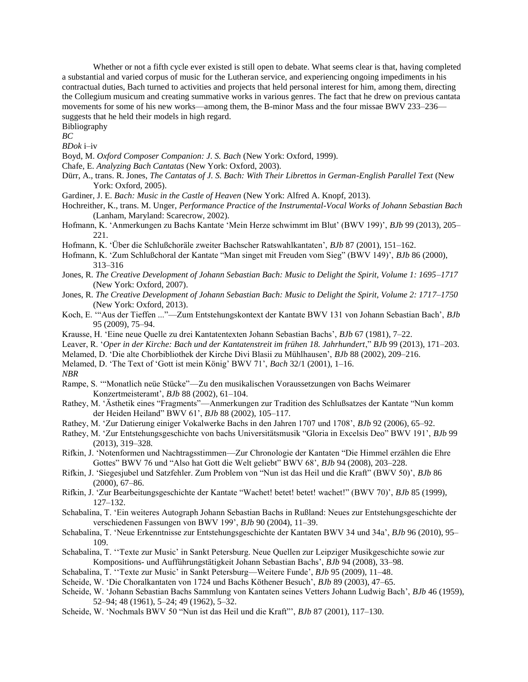Whether or not a fifth cycle ever existed is still open to debate. What seems clear is that, having completed a substantial and varied corpus of music for the Lutheran service, and experiencing ongoing impediments in his contractual duties, Bach turned to activities and projects that held personal interest for him, among them, directing the Collegium musicum and creating summative works in various genres. The fact that he drew on previous cantata movements for some of his new works—among them, the B-minor Mass and the four missae BWV 233–236 suggests that he held their models in high regard.

Bibliography

*BC*

*BDok* i–iv

Boyd, M. *Oxford Composer Companion: J. S. Bach* (New York: Oxford, 1999).

- Chafe, E. *Analyzing Bach Cantatas* (New York: Oxford, 2003).
- Dürr, A., trans. R. Jones, *The Cantatas of J. S. Bach: With Their Librettos in German-English Parallel Text* (New York: Oxford, 2005).
- Gardiner, J. E. *Bach: Music in the Castle of Heaven* (New York: Alfred A. Knopf, 2013).
- Hochreither, K., trans. M. Unger, *Performance Practice of the Instrumental-Vocal Works of Johann Sebastian Bach* (Lanham, Maryland: Scarecrow, 2002).
- Hofmann, K. 'Anmerkungen zu Bachs Kantate 'Mein Herze schwimmt im Blut' (BWV 199)', *BJb* 99 (2013), 205– 221.
- Hofmann, K. 'Über die Schlußchoräle zweiter Bachscher Ratswahlkantaten', *BJb* 87 (2001), 151–162.
- Hofmann, K. 'Zum Schlußchoral der Kantate "Man singet mit Freuden vom Sieg" (BWV 149)', *BJb* 86 (2000), 313–316
- Jones, R. *The Creative Development of Johann Sebastian Bach: Music to Delight the Spirit, Volume 1: 1695–1717* (New York: Oxford, 2007).
- Jones, R. *The Creative Development of Johann Sebastian Bach: Music to Delight the Spirit, Volume 2: 1717–1750* (New York: Oxford, 2013).
- Koch, E. '"Aus der Tieffen ..."—Zum Entstehungskontext der Kantate BWV 131 von Johann Sebastian Bach', *BJb* 95 (2009), 75–94.
- Krausse, H. 'Eine neue Quelle zu drei Kantatentexten Johann Sebastian Bachs', *BJb* 67 (1981), 7–22.
- Leaver, R. '*Oper in der Kirche: Bach und der Kantatenstreit im frühen 18. Jahrhundert*," *BJb* 99 (2013), 171–203.
- Melamed, D. 'Die alte Chorbibliothek der Kirche Divi Blasii zu Mühlhausen', *BJb* 88 (2002), 209–216.
- Melamed, D. 'The Text of 'Gott ist mein König' BWV 71', *Bach* 32/1 (2001), 1–16.

*NBR*

- Rampe, S. '"Monatlich neüe Stücke"—Zu den musikalischen Voraussetzungen von Bachs Weimarer Konzertmeisteramt', *BJb* 88 (2002), 61–104.
- Rathey, M. 'Ästhetik eines "Fragments"—Anmerkungen zur Tradition des Schlußsatzes der Kantate "Nun komm der Heiden Heiland" BWV 61', *BJb* 88 (2002), 105–117.
- Rathey, M. 'Zur Datierung einiger Vokalwerke Bachs in den Jahren 1707 und 1708', *BJb* 92 (2006), 65–92.
- Rathey, M. 'Zur Entstehungsgeschichte von bachs Universitätsmusik "Gloria in Excelsis Deo" BWV 191', *BJb* 99 (2013), 319–328.
- Rifkin, J. 'Notenformen und Nachtragsstimmen—Zur Chronologie der Kantaten "Die Himmel erzählen die Ehre Gottes" BWV 76 und "Also hat Gott die Welt geliebt" BWV 68', *BJb* 94 (2008), 203–228.
- Rifkin, J. 'Siegesjubel und Satzfehler. Zum Problem von "Nun ist das Heil und die Kraft" (BWV 50)', *BJb* 86 (2000), 67–86.
- Rifkin, J. 'Zur Bearbeitungsgeschichte der Kantate "Wachet! betet! betet! wachet!" (BWV 70)', *BJb* 85 (1999), 127–132.
- Schabalina, T. 'Ein weiteres Autograph Johann Sebastian Bachs in Rußland: Neues zur Entstehungsgeschichte der verschiedenen Fassungen von BWV 199', *BJb* 90 (2004), 11–39.
- Schabalina, T. 'Neue Erkenntnisse zur Entstehungsgeschichte der Kantaten BWV 34 und 34a', *BJb* 96 (2010), 95– 109.
- Schabalina, T. ''Texte zur Music' in Sankt Petersburg. Neue Quellen zur Leipziger Musikgeschichte sowie zur Kompositions- und Aufführungstätigkeit Johann Sebastian Bachs', *BJb* 94 (2008), 33–98.
- Schabalina, T. ''Texte zur Music' in Sankt Petersburg—Weitere Funde', *BJb* 95 (2009), 11–48.
- Scheide, W. 'Die Choralkantaten von 1724 und Bachs Köthener Besuch', *BJb* 89 (2003), 47–65.
- Scheide, W. 'Johann Sebastian Bachs Sammlung von Kantaten seines Vetters Johann Ludwig Bach', *BJb* 46 (1959), 52–94; 48 (1961), 5–24; 49 (1962), 5–32.
- Scheide, W. 'Nochmals BWV 50 "Nun ist das Heil und die Kraft"', *BJb* 87 (2001), 117–130.